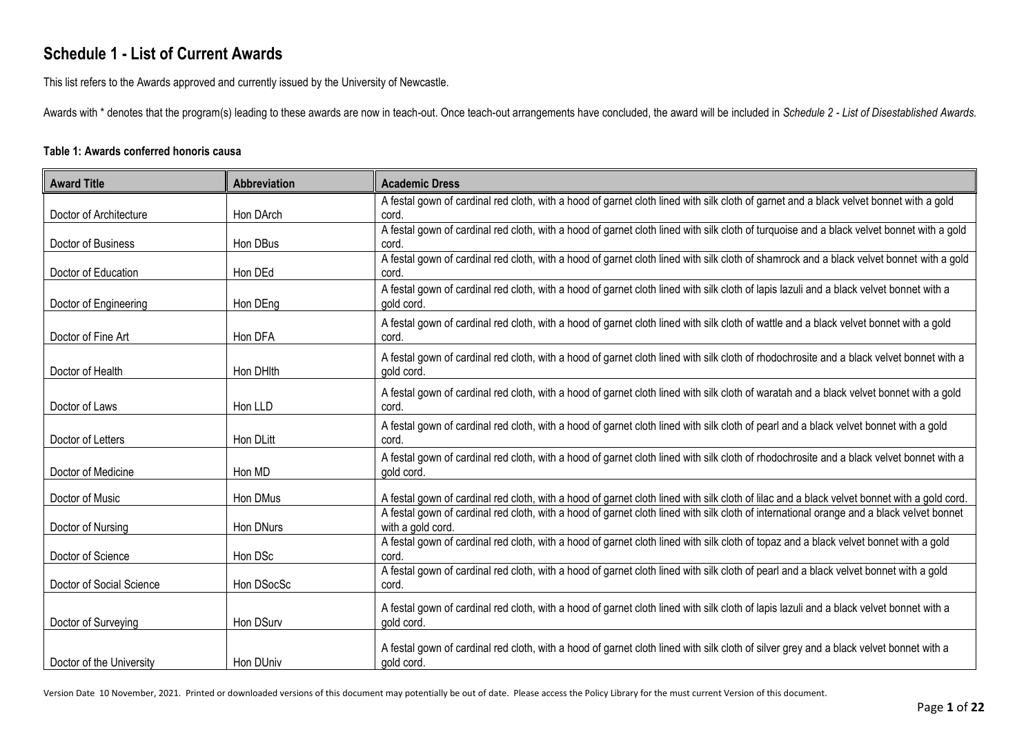## **Schedule 1 - List of Current Awards**

This list refers to the Awards approved and currently issued by the University of Newcastle.

Awards with \* denotes that the program(s) leading to these awards are now in teach-out. Once teach-out arrangements have concluded, the award will be included in *Schedule 2 - List of Disestablished Awards.*

## **Table 1: Awards conferred honoris causa**

| <b>Award Title</b>       | <b>Abbreviation</b> | <b>Academic Dress</b>                                                                                                                              |
|--------------------------|---------------------|----------------------------------------------------------------------------------------------------------------------------------------------------|
|                          |                     | A festal gown of cardinal red cloth, with a hood of garnet cloth lined with silk cloth of garnet and a black velvet bonnet with a gold             |
| Doctor of Architecture   | Hon DArch           | cord.                                                                                                                                              |
| Doctor of Business       | Hon DBus            | A festal gown of cardinal red cloth, with a hood of garnet cloth lined with silk cloth of turquoise and a black velvet bonnet with a gold<br>cord. |
|                          |                     | A festal gown of cardinal red cloth, with a hood of garnet cloth lined with silk cloth of shamrock and a black velvet bonnet with a gold           |
| Doctor of Education      | Hon DEd             | cord.                                                                                                                                              |
|                          |                     | A festal gown of cardinal red cloth, with a hood of garnet cloth lined with silk cloth of lapis lazuli and a black velvet bonnet with a            |
| Doctor of Engineering    | Hon DEng            | gold cord.                                                                                                                                         |
|                          |                     | A festal gown of cardinal red cloth, with a hood of garnet cloth lined with silk cloth of wattle and a black velvet bonnet with a gold             |
| Doctor of Fine Art       | Hon DFA             | cord.                                                                                                                                              |
|                          |                     | A festal gown of cardinal red cloth, with a hood of garnet cloth lined with silk cloth of rhodochrosite and a black velvet bonnet with a           |
| Doctor of Health         | Hon DHIth           | gold cord.                                                                                                                                         |
|                          |                     | A festal gown of cardinal red cloth, with a hood of garnet cloth lined with silk cloth of waratah and a black velvet bonnet with a gold            |
| Doctor of Laws           | Hon LLD             | cord.                                                                                                                                              |
|                          |                     | A festal gown of cardinal red cloth, with a hood of garnet cloth lined with silk cloth of pearl and a black velvet bonnet with a gold              |
| Doctor of Letters        | Hon DLitt           | cord.                                                                                                                                              |
|                          |                     | A festal gown of cardinal red cloth, with a hood of garnet cloth lined with silk cloth of rhodochrosite and a black velvet bonnet with a           |
| Doctor of Medicine       | Hon MD              | gold cord.                                                                                                                                         |
|                          |                     |                                                                                                                                                    |
| Doctor of Music          | Hon DMus            | A festal gown of cardinal red cloth, with a hood of garnet cloth lined with silk cloth of lilac and a black velvet bonnet with a gold cord.        |
|                          |                     | A festal gown of cardinal red cloth, with a hood of garnet cloth lined with silk cloth of international orange and a black velvet bonnet           |
| Doctor of Nursing        | Hon DNurs           | with a gold cord.                                                                                                                                  |
| Doctor of Science        | Hon DSc             | A festal gown of cardinal red cloth, with a hood of garnet cloth lined with silk cloth of topaz and a black velvet bonnet with a gold<br>cord.     |
|                          |                     | A festal gown of cardinal red cloth, with a hood of garnet cloth lined with silk cloth of pearl and a black velvet bonnet with a gold              |
| Doctor of Social Science | Hon DSocSc          | cord.                                                                                                                                              |
|                          |                     |                                                                                                                                                    |
|                          |                     | A festal gown of cardinal red cloth, with a hood of garnet cloth lined with silk cloth of lapis lazuli and a black velvet bonnet with a            |
| Doctor of Surveying      | Hon DSurv           | gold cord.                                                                                                                                         |
|                          |                     | A festal gown of cardinal red cloth, with a hood of garnet cloth lined with silk cloth of silver grey and a black velvet bonnet with a             |
| Doctor of the University | Hon DUniv           | gold cord.                                                                                                                                         |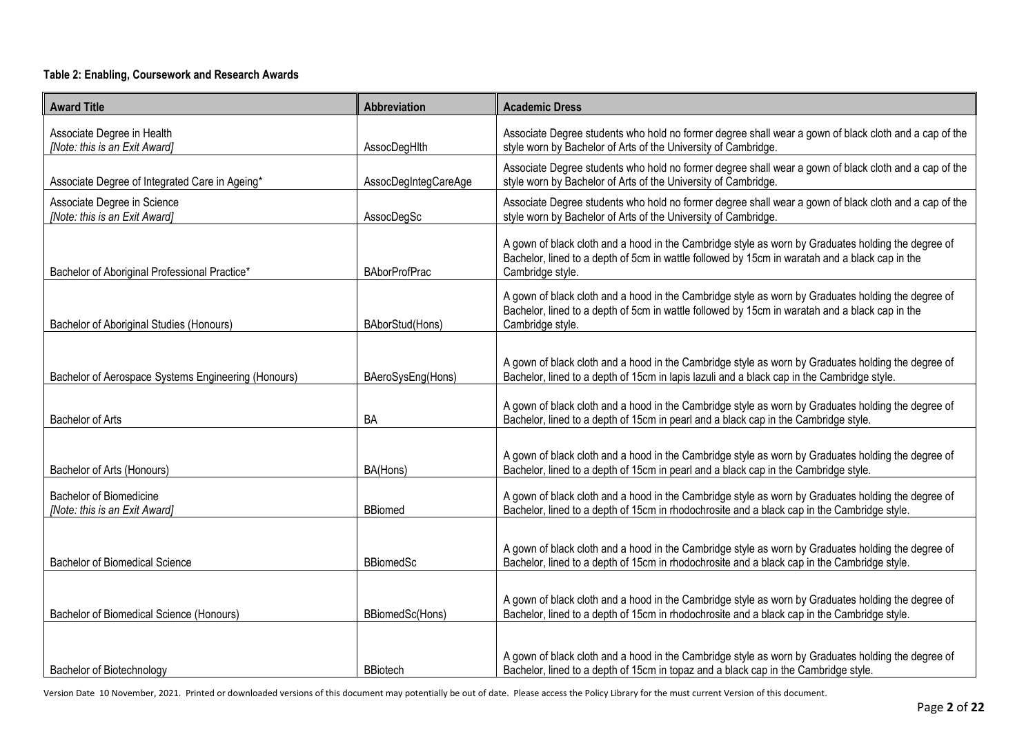## **Table 2: Enabling, Coursework and Research Awards**

| <b>Award Title</b>                                              | Abbreviation         | <b>Academic Dress</b>                                                                                                                                                                                                    |
|-----------------------------------------------------------------|----------------------|--------------------------------------------------------------------------------------------------------------------------------------------------------------------------------------------------------------------------|
| Associate Degree in Health<br>[Note: this is an Exit Award]     | AssocDegHlth         | Associate Degree students who hold no former degree shall wear a gown of black cloth and a cap of the<br>style worn by Bachelor of Arts of the University of Cambridge.                                                  |
| Associate Degree of Integrated Care in Ageing*                  | AssocDegIntegCareAge | Associate Degree students who hold no former degree shall wear a gown of black cloth and a cap of the<br>style worn by Bachelor of Arts of the University of Cambridge.                                                  |
| Associate Degree in Science<br>[Note: this is an Exit Award]    | AssocDegSc           | Associate Degree students who hold no former degree shall wear a gown of black cloth and a cap of the<br>style worn by Bachelor of Arts of the University of Cambridge.                                                  |
| Bachelor of Aboriginal Professional Practice*                   | <b>BAborProfPrac</b> | A gown of black cloth and a hood in the Cambridge style as worn by Graduates holding the degree of<br>Bachelor, lined to a depth of 5cm in wattle followed by 15cm in waratah and a black cap in the<br>Cambridge style. |
| Bachelor of Aboriginal Studies (Honours)                        | BAborStud(Hons)      | A gown of black cloth and a hood in the Cambridge style as worn by Graduates holding the degree of<br>Bachelor, lined to a depth of 5cm in wattle followed by 15cm in waratah and a black cap in the<br>Cambridge style. |
| Bachelor of Aerospace Systems Engineering (Honours)             | BAeroSysEng(Hons)    | A gown of black cloth and a hood in the Cambridge style as worn by Graduates holding the degree of<br>Bachelor, lined to a depth of 15cm in lapis lazuli and a black cap in the Cambridge style.                         |
| <b>Bachelor of Arts</b>                                         | BA                   | A gown of black cloth and a hood in the Cambridge style as worn by Graduates holding the degree of<br>Bachelor, lined to a depth of 15cm in pearl and a black cap in the Cambridge style.                                |
| Bachelor of Arts (Honours)                                      | BA(Hons)             | A gown of black cloth and a hood in the Cambridge style as worn by Graduates holding the degree of<br>Bachelor, lined to a depth of 15cm in pearl and a black cap in the Cambridge style.                                |
| <b>Bachelor of Biomedicine</b><br>[Note: this is an Exit Award] | <b>BBiomed</b>       | A gown of black cloth and a hood in the Cambridge style as worn by Graduates holding the degree of<br>Bachelor, lined to a depth of 15cm in rhodochrosite and a black cap in the Cambridge style.                        |
| <b>Bachelor of Biomedical Science</b>                           | <b>BBiomedSc</b>     | A gown of black cloth and a hood in the Cambridge style as worn by Graduates holding the degree of<br>Bachelor, lined to a depth of 15cm in rhodochrosite and a black cap in the Cambridge style.                        |
| Bachelor of Biomedical Science (Honours)                        | BBiomedSc(Hons)      | A gown of black cloth and a hood in the Cambridge style as worn by Graduates holding the degree of<br>Bachelor, lined to a depth of 15cm in rhodochrosite and a black cap in the Cambridge style.                        |
| Bachelor of Biotechnology                                       | <b>BBiotech</b>      | A gown of black cloth and a hood in the Cambridge style as worn by Graduates holding the degree of<br>Bachelor, lined to a depth of 15cm in topaz and a black cap in the Cambridge style.                                |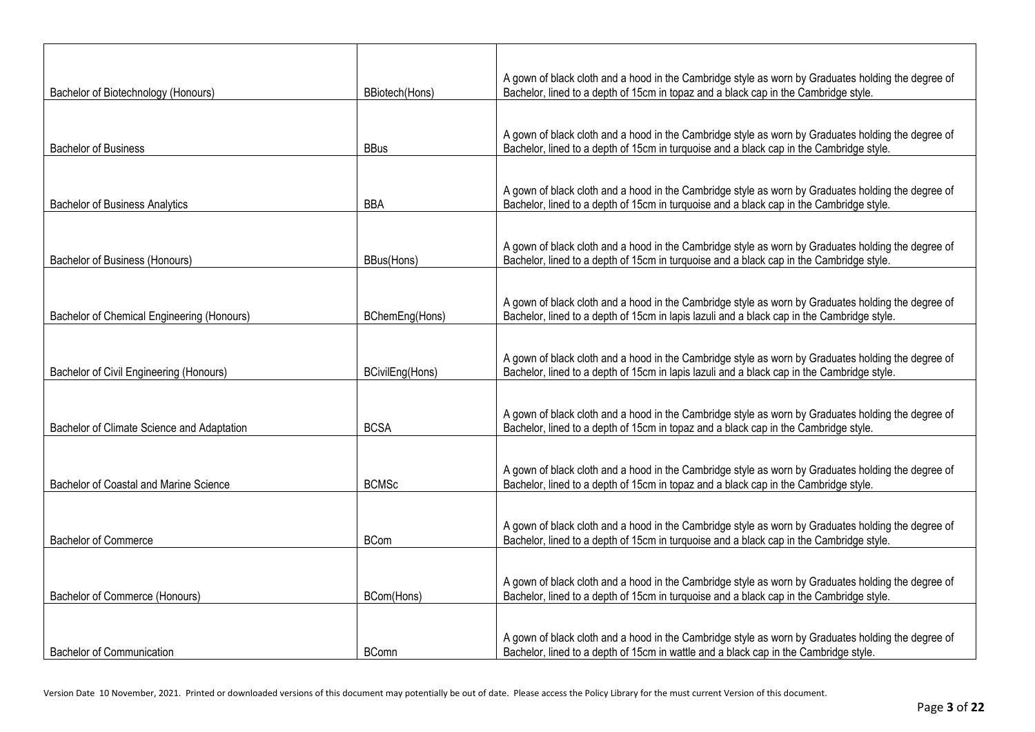| Bachelor of Biotechnology (Honours)        | BBiotech(Hons)  | A gown of black cloth and a hood in the Cambridge style as worn by Graduates holding the degree of<br>Bachelor, lined to a depth of 15cm in topaz and a black cap in the Cambridge style.        |
|--------------------------------------------|-----------------|--------------------------------------------------------------------------------------------------------------------------------------------------------------------------------------------------|
|                                            |                 |                                                                                                                                                                                                  |
|                                            |                 | A gown of black cloth and a hood in the Cambridge style as worn by Graduates holding the degree of                                                                                               |
| <b>Bachelor of Business</b>                | <b>BBus</b>     | Bachelor, lined to a depth of 15cm in turquoise and a black cap in the Cambridge style.                                                                                                          |
|                                            |                 | A gown of black cloth and a hood in the Cambridge style as worn by Graduates holding the degree of                                                                                               |
| <b>Bachelor of Business Analytics</b>      | <b>BBA</b>      | Bachelor, lined to a depth of 15cm in turquoise and a black cap in the Cambridge style.                                                                                                          |
|                                            |                 |                                                                                                                                                                                                  |
| Bachelor of Business (Honours)             | BBus(Hons)      | A gown of black cloth and a hood in the Cambridge style as worn by Graduates holding the degree of<br>Bachelor, lined to a depth of 15cm in turquoise and a black cap in the Cambridge style.    |
|                                            |                 |                                                                                                                                                                                                  |
| Bachelor of Chemical Engineering (Honours) | BChemEng(Hons)  | A gown of black cloth and a hood in the Cambridge style as worn by Graduates holding the degree of<br>Bachelor, lined to a depth of 15cm in lapis lazuli and a black cap in the Cambridge style. |
|                                            |                 |                                                                                                                                                                                                  |
| Bachelor of Civil Engineering (Honours)    | BCivilEng(Hons) | A gown of black cloth and a hood in the Cambridge style as worn by Graduates holding the degree of<br>Bachelor, lined to a depth of 15cm in lapis lazuli and a black cap in the Cambridge style. |
|                                            |                 |                                                                                                                                                                                                  |
| Bachelor of Climate Science and Adaptation | <b>BCSA</b>     | A gown of black cloth and a hood in the Cambridge style as worn by Graduates holding the degree of<br>Bachelor, lined to a depth of 15cm in topaz and a black cap in the Cambridge style.        |
|                                            |                 |                                                                                                                                                                                                  |
| Bachelor of Coastal and Marine Science     | <b>BCMSc</b>    | A gown of black cloth and a hood in the Cambridge style as worn by Graduates holding the degree of<br>Bachelor, lined to a depth of 15cm in topaz and a black cap in the Cambridge style.        |
|                                            |                 |                                                                                                                                                                                                  |
| <b>Bachelor of Commerce</b>                |                 | A gown of black cloth and a hood in the Cambridge style as worn by Graduates holding the degree of                                                                                               |
|                                            | <b>BCom</b>     | Bachelor, lined to a depth of 15cm in turquoise and a black cap in the Cambridge style.                                                                                                          |
|                                            |                 | A gown of black cloth and a hood in the Cambridge style as worn by Graduates holding the degree of                                                                                               |
| Bachelor of Commerce (Honours)             | BCom(Hons)      | Bachelor, lined to a depth of 15cm in turquoise and a black cap in the Cambridge style.                                                                                                          |
|                                            |                 |                                                                                                                                                                                                  |
| <b>Bachelor of Communication</b>           | <b>BComn</b>    | A gown of black cloth and a hood in the Cambridge style as worn by Graduates holding the degree of<br>Bachelor, lined to a depth of 15cm in wattle and a black cap in the Cambridge style.       |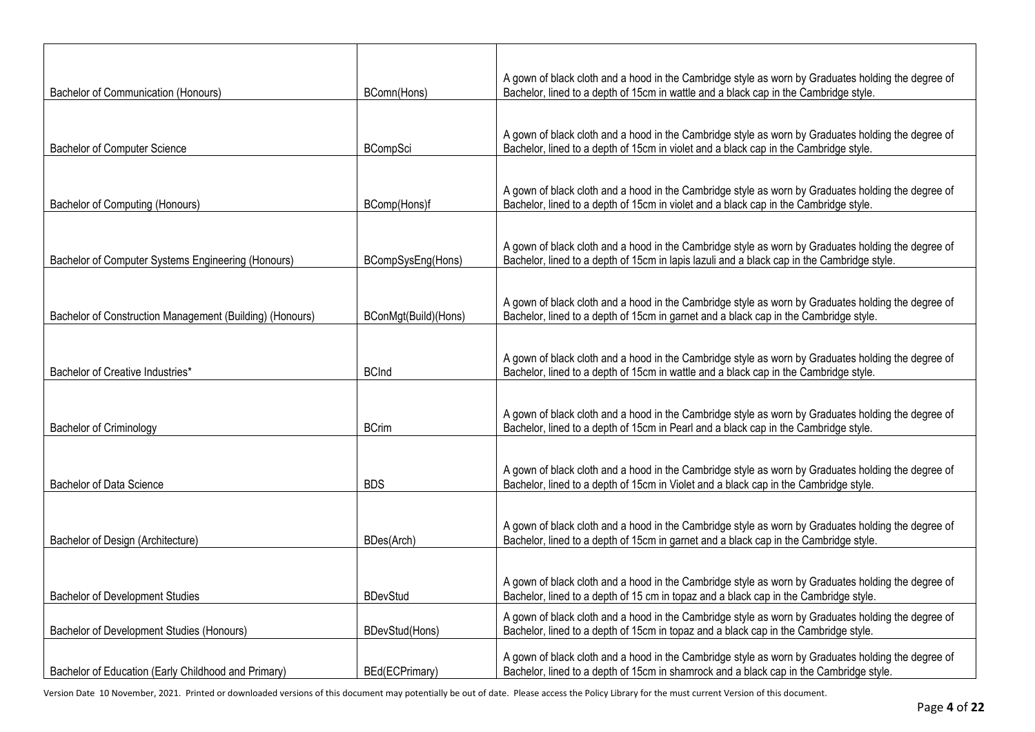| <b>Bachelor of Communication (Honours)</b>               | BComn(Hons)          | A gown of black cloth and a hood in the Cambridge style as worn by Graduates holding the degree of<br>Bachelor, lined to a depth of 15cm in wattle and a black cap in the Cambridge style.       |
|----------------------------------------------------------|----------------------|--------------------------------------------------------------------------------------------------------------------------------------------------------------------------------------------------|
|                                                          |                      |                                                                                                                                                                                                  |
| <b>Bachelor of Computer Science</b>                      | <b>BCompSci</b>      | A gown of black cloth and a hood in the Cambridge style as worn by Graduates holding the degree of<br>Bachelor, lined to a depth of 15cm in violet and a black cap in the Cambridge style.       |
|                                                          |                      |                                                                                                                                                                                                  |
| <b>Bachelor of Computing (Honours)</b>                   | BComp(Hons)f         | A gown of black cloth and a hood in the Cambridge style as worn by Graduates holding the degree of<br>Bachelor, lined to a depth of 15cm in violet and a black cap in the Cambridge style.       |
|                                                          |                      |                                                                                                                                                                                                  |
| Bachelor of Computer Systems Engineering (Honours)       | BCompSysEng(Hons)    | A gown of black cloth and a hood in the Cambridge style as worn by Graduates holding the degree of<br>Bachelor, lined to a depth of 15cm in lapis lazuli and a black cap in the Cambridge style. |
|                                                          |                      |                                                                                                                                                                                                  |
| Bachelor of Construction Management (Building) (Honours) | BConMgt(Build)(Hons) | A gown of black cloth and a hood in the Cambridge style as worn by Graduates holding the degree of<br>Bachelor, lined to a depth of 15cm in garnet and a black cap in the Cambridge style.       |
|                                                          |                      |                                                                                                                                                                                                  |
| Bachelor of Creative Industries*                         | <b>BCInd</b>         | A gown of black cloth and a hood in the Cambridge style as worn by Graduates holding the degree of<br>Bachelor, lined to a depth of 15cm in wattle and a black cap in the Cambridge style.       |
|                                                          |                      |                                                                                                                                                                                                  |
| <b>Bachelor of Criminology</b>                           | <b>BCrim</b>         | A gown of black cloth and a hood in the Cambridge style as worn by Graduates holding the degree of<br>Bachelor, lined to a depth of 15cm in Pearl and a black cap in the Cambridge style.        |
|                                                          |                      |                                                                                                                                                                                                  |
| Bachelor of Data Science                                 | <b>BDS</b>           | A gown of black cloth and a hood in the Cambridge style as worn by Graduates holding the degree of<br>Bachelor, lined to a depth of 15cm in Violet and a black cap in the Cambridge style.       |
|                                                          |                      |                                                                                                                                                                                                  |
| Bachelor of Design (Architecture)                        | BDes(Arch)           | A gown of black cloth and a hood in the Cambridge style as worn by Graduates holding the degree of<br>Bachelor, lined to a depth of 15cm in garnet and a black cap in the Cambridge style.       |
|                                                          |                      |                                                                                                                                                                                                  |
| <b>Bachelor of Development Studies</b>                   | <b>BDevStud</b>      | A gown of black cloth and a hood in the Cambridge style as worn by Graduates holding the degree of<br>Bachelor, lined to a depth of 15 cm in topaz and a black cap in the Cambridge style.       |
| Bachelor of Development Studies (Honours)                | BDevStud(Hons)       | A gown of black cloth and a hood in the Cambridge style as worn by Graduates holding the degree of<br>Bachelor, lined to a depth of 15cm in topaz and a black cap in the Cambridge style.        |
| Bachelor of Education (Early Childhood and Primary)      | BEd(ECPrimary)       | A gown of black cloth and a hood in the Cambridge style as worn by Graduates holding the degree of<br>Bachelor, lined to a depth of 15cm in shamrock and a black cap in the Cambridge style.     |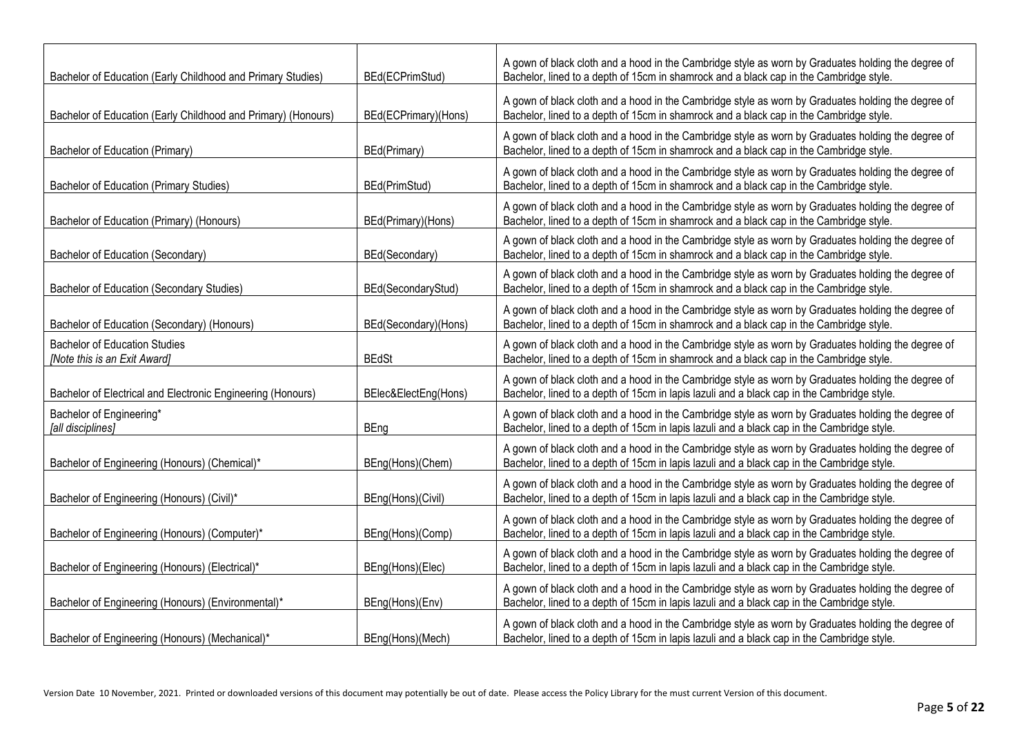| Bachelor of Education (Early Childhood and Primary Studies)          | BEd(ECPrimStud)      | A gown of black cloth and a hood in the Cambridge style as worn by Graduates holding the degree of<br>Bachelor, lined to a depth of 15cm in shamrock and a black cap in the Cambridge style.     |
|----------------------------------------------------------------------|----------------------|--------------------------------------------------------------------------------------------------------------------------------------------------------------------------------------------------|
| Bachelor of Education (Early Childhood and Primary) (Honours)        | BEd(ECPrimary)(Hons) | A gown of black cloth and a hood in the Cambridge style as worn by Graduates holding the degree of<br>Bachelor, lined to a depth of 15cm in shamrock and a black cap in the Cambridge style.     |
| Bachelor of Education (Primary)                                      | BEd(Primary)         | A gown of black cloth and a hood in the Cambridge style as worn by Graduates holding the degree of<br>Bachelor, lined to a depth of 15cm in shamrock and a black cap in the Cambridge style.     |
| <b>Bachelor of Education (Primary Studies)</b>                       | BEd(PrimStud)        | A gown of black cloth and a hood in the Cambridge style as worn by Graduates holding the degree of<br>Bachelor, lined to a depth of 15cm in shamrock and a black cap in the Cambridge style.     |
| Bachelor of Education (Primary) (Honours)                            | BEd(Primary)(Hons)   | A gown of black cloth and a hood in the Cambridge style as worn by Graduates holding the degree of<br>Bachelor, lined to a depth of 15cm in shamrock and a black cap in the Cambridge style.     |
| Bachelor of Education (Secondary)                                    | BEd(Secondary)       | A gown of black cloth and a hood in the Cambridge style as worn by Graduates holding the degree of<br>Bachelor, lined to a depth of 15cm in shamrock and a black cap in the Cambridge style.     |
| Bachelor of Education (Secondary Studies)                            | BEd(SecondaryStud)   | A gown of black cloth and a hood in the Cambridge style as worn by Graduates holding the degree of<br>Bachelor, lined to a depth of 15cm in shamrock and a black cap in the Cambridge style.     |
| Bachelor of Education (Secondary) (Honours)                          | BEd(Secondary)(Hons) | A gown of black cloth and a hood in the Cambridge style as worn by Graduates holding the degree of<br>Bachelor, lined to a depth of 15cm in shamrock and a black cap in the Cambridge style.     |
| <b>Bachelor of Education Studies</b><br>[Note this is an Exit Award] | <b>BEdSt</b>         | A gown of black cloth and a hood in the Cambridge style as worn by Graduates holding the degree of<br>Bachelor, lined to a depth of 15cm in shamrock and a black cap in the Cambridge style.     |
| Bachelor of Electrical and Electronic Engineering (Honours)          | BElec&ElectEng(Hons) | A gown of black cloth and a hood in the Cambridge style as worn by Graduates holding the degree of<br>Bachelor, lined to a depth of 15cm in lapis lazuli and a black cap in the Cambridge style. |
| Bachelor of Engineering*<br>[all disciplines]                        | <b>BEng</b>          | A gown of black cloth and a hood in the Cambridge style as worn by Graduates holding the degree of<br>Bachelor, lined to a depth of 15cm in lapis lazuli and a black cap in the Cambridge style. |
| Bachelor of Engineering (Honours) (Chemical)*                        | BEng(Hons)(Chem)     | A gown of black cloth and a hood in the Cambridge style as worn by Graduates holding the degree of<br>Bachelor, lined to a depth of 15cm in lapis lazuli and a black cap in the Cambridge style. |
| Bachelor of Engineering (Honours) (Civil)*                           | BEng(Hons)(Civil)    | A gown of black cloth and a hood in the Cambridge style as worn by Graduates holding the degree of<br>Bachelor, lined to a depth of 15cm in lapis lazuli and a black cap in the Cambridge style. |
| Bachelor of Engineering (Honours) (Computer)*                        | BEng(Hons)(Comp)     | A gown of black cloth and a hood in the Cambridge style as worn by Graduates holding the degree of<br>Bachelor, lined to a depth of 15cm in lapis lazuli and a black cap in the Cambridge style. |
| Bachelor of Engineering (Honours) (Electrical)*                      | BEng(Hons)(Elec)     | A gown of black cloth and a hood in the Cambridge style as worn by Graduates holding the degree of<br>Bachelor, lined to a depth of 15cm in lapis lazuli and a black cap in the Cambridge style. |
| Bachelor of Engineering (Honours) (Environmental)*                   | BEng(Hons)(Env)      | A gown of black cloth and a hood in the Cambridge style as worn by Graduates holding the degree of<br>Bachelor, lined to a depth of 15cm in lapis lazuli and a black cap in the Cambridge style. |
| Bachelor of Engineering (Honours) (Mechanical)*                      | BEng(Hons)(Mech)     | A gown of black cloth and a hood in the Cambridge style as worn by Graduates holding the degree of<br>Bachelor, lined to a depth of 15cm in lapis lazuli and a black cap in the Cambridge style. |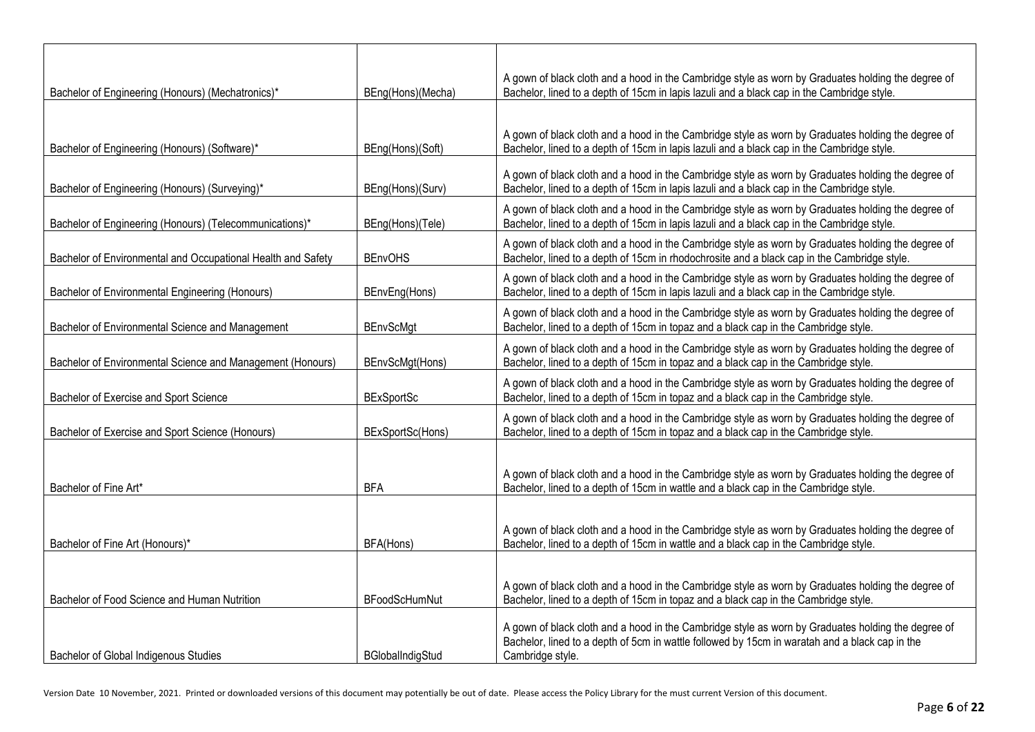|                                                              |                      | A gown of black cloth and a hood in the Cambridge style as worn by Graduates holding the degree of                                                                                                                       |
|--------------------------------------------------------------|----------------------|--------------------------------------------------------------------------------------------------------------------------------------------------------------------------------------------------------------------------|
| Bachelor of Engineering (Honours) (Mechatronics)*            | BEng(Hons)(Mecha)    | Bachelor, lined to a depth of 15cm in lapis lazuli and a black cap in the Cambridge style.                                                                                                                               |
| Bachelor of Engineering (Honours) (Software)*                | BEng(Hons)(Soft)     | A gown of black cloth and a hood in the Cambridge style as worn by Graduates holding the degree of<br>Bachelor, lined to a depth of 15cm in lapis lazuli and a black cap in the Cambridge style.                         |
| Bachelor of Engineering (Honours) (Surveying)*               | BEng(Hons)(Surv)     | A gown of black cloth and a hood in the Cambridge style as worn by Graduates holding the degree of<br>Bachelor, lined to a depth of 15cm in lapis lazuli and a black cap in the Cambridge style.                         |
| Bachelor of Engineering (Honours) (Telecommunications)*      | BEng(Hons)(Tele)     | A gown of black cloth and a hood in the Cambridge style as worn by Graduates holding the degree of<br>Bachelor, lined to a depth of 15cm in lapis lazuli and a black cap in the Cambridge style.                         |
| Bachelor of Environmental and Occupational Health and Safety | <b>BEnvOHS</b>       | A gown of black cloth and a hood in the Cambridge style as worn by Graduates holding the degree of<br>Bachelor, lined to a depth of 15cm in rhodochrosite and a black cap in the Cambridge style.                        |
| Bachelor of Environmental Engineering (Honours)              | BEnvEng(Hons)        | A gown of black cloth and a hood in the Cambridge style as worn by Graduates holding the degree of<br>Bachelor, lined to a depth of 15cm in lapis lazuli and a black cap in the Cambridge style.                         |
| Bachelor of Environmental Science and Management             | <b>BEnvScMgt</b>     | A gown of black cloth and a hood in the Cambridge style as worn by Graduates holding the degree of<br>Bachelor, lined to a depth of 15cm in topaz and a black cap in the Cambridge style.                                |
| Bachelor of Environmental Science and Management (Honours)   | BEnvScMgt(Hons)      | A gown of black cloth and a hood in the Cambridge style as worn by Graduates holding the degree of<br>Bachelor, lined to a depth of 15cm in topaz and a black cap in the Cambridge style.                                |
| Bachelor of Exercise and Sport Science                       | <b>BExSportSc</b>    | A gown of black cloth and a hood in the Cambridge style as worn by Graduates holding the degree of<br>Bachelor, lined to a depth of 15cm in topaz and a black cap in the Cambridge style.                                |
| Bachelor of Exercise and Sport Science (Honours)             | BExSportSc(Hons)     | A gown of black cloth and a hood in the Cambridge style as worn by Graduates holding the degree of<br>Bachelor, lined to a depth of 15cm in topaz and a black cap in the Cambridge style.                                |
| Bachelor of Fine Art*                                        | <b>BFA</b>           | A gown of black cloth and a hood in the Cambridge style as worn by Graduates holding the degree of<br>Bachelor, lined to a depth of 15cm in wattle and a black cap in the Cambridge style.                               |
| Bachelor of Fine Art (Honours)*                              | BFA(Hons)            | A gown of black cloth and a hood in the Cambridge style as worn by Graduates holding the degree of<br>Bachelor, lined to a depth of 15cm in wattle and a black cap in the Cambridge style.                               |
| Bachelor of Food Science and Human Nutrition                 | <b>BFoodScHumNut</b> | A gown of black cloth and a hood in the Cambridge style as worn by Graduates holding the degree of<br>Bachelor, lined to a depth of 15cm in topaz and a black cap in the Cambridge style.                                |
| Bachelor of Global Indigenous Studies                        | BGlobalIndigStud     | A gown of black cloth and a hood in the Cambridge style as worn by Graduates holding the degree of<br>Bachelor, lined to a depth of 5cm in wattle followed by 15cm in waratah and a black cap in the<br>Cambridge style. |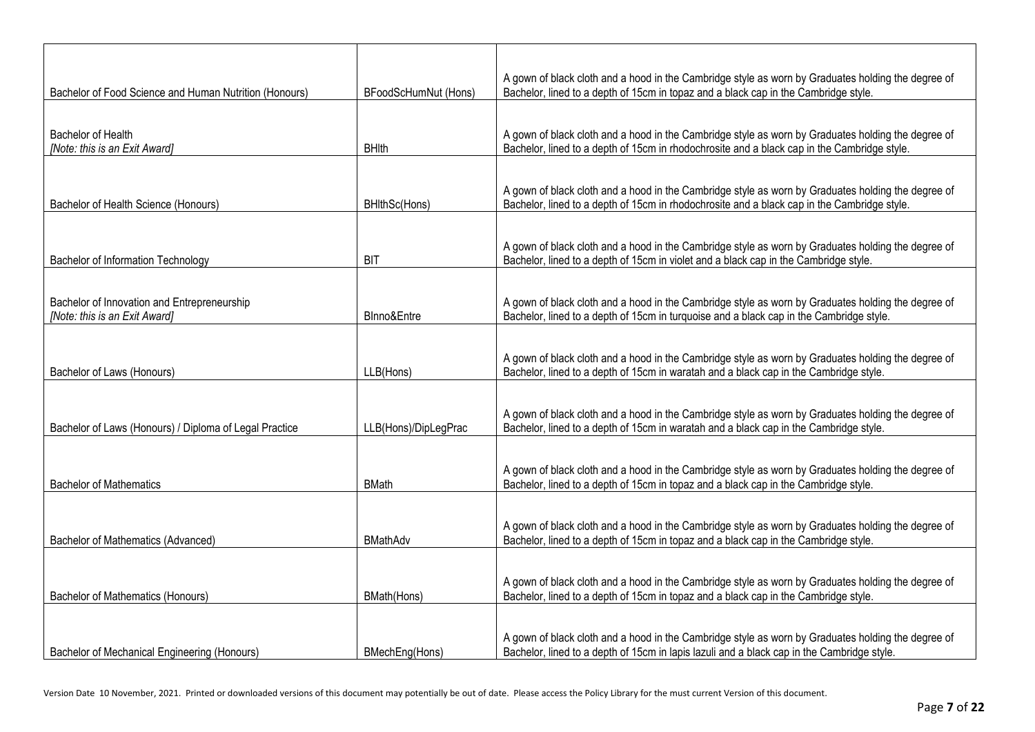| Bachelor of Food Science and Human Nutrition (Honours) | BFoodScHumNut (Hons) | A gown of black cloth and a hood in the Cambridge style as worn by Graduates holding the degree of<br>Bachelor, lined to a depth of 15cm in topaz and a black cap in the Cambridge style.         |
|--------------------------------------------------------|----------------------|---------------------------------------------------------------------------------------------------------------------------------------------------------------------------------------------------|
|                                                        |                      |                                                                                                                                                                                                   |
| Bachelor of Health<br>[Note: this is an Exit Award]    | <b>BHIth</b>         | A gown of black cloth and a hood in the Cambridge style as worn by Graduates holding the degree of<br>Bachelor, lined to a depth of 15cm in rhodochrosite and a black cap in the Cambridge style. |
|                                                        |                      |                                                                                                                                                                                                   |
| Bachelor of Health Science (Honours)                   | BHIthSc(Hons)        | A gown of black cloth and a hood in the Cambridge style as worn by Graduates holding the degree of<br>Bachelor, lined to a depth of 15cm in rhodochrosite and a black cap in the Cambridge style. |
|                                                        |                      |                                                                                                                                                                                                   |
| Bachelor of Information Technology                     | <b>BIT</b>           | A gown of black cloth and a hood in the Cambridge style as worn by Graduates holding the degree of<br>Bachelor, lined to a depth of 15cm in violet and a black cap in the Cambridge style.        |
| Bachelor of Innovation and Entrepreneurship            |                      | A gown of black cloth and a hood in the Cambridge style as worn by Graduates holding the degree of                                                                                                |
| [Note: this is an Exit Award]                          | BInno&Entre          | Bachelor, lined to a depth of 15cm in turquoise and a black cap in the Cambridge style.                                                                                                           |
|                                                        |                      |                                                                                                                                                                                                   |
| Bachelor of Laws (Honours)                             | LLB(Hons)            | A gown of black cloth and a hood in the Cambridge style as worn by Graduates holding the degree of<br>Bachelor, lined to a depth of 15cm in waratah and a black cap in the Cambridge style.       |
|                                                        |                      |                                                                                                                                                                                                   |
| Bachelor of Laws (Honours) / Diploma of Legal Practice | LLB(Hons)/DipLegPrac | A gown of black cloth and a hood in the Cambridge style as worn by Graduates holding the degree of<br>Bachelor, lined to a depth of 15cm in waratah and a black cap in the Cambridge style.       |
|                                                        |                      |                                                                                                                                                                                                   |
| <b>Bachelor of Mathematics</b>                         | <b>BMath</b>         | A gown of black cloth and a hood in the Cambridge style as worn by Graduates holding the degree of<br>Bachelor, lined to a depth of 15cm in topaz and a black cap in the Cambridge style.         |
|                                                        |                      |                                                                                                                                                                                                   |
| Bachelor of Mathematics (Advanced)                     | <b>BMathAdv</b>      | A gown of black cloth and a hood in the Cambridge style as worn by Graduates holding the degree of<br>Bachelor, lined to a depth of 15cm in topaz and a black cap in the Cambridge style.         |
|                                                        |                      |                                                                                                                                                                                                   |
| <b>Bachelor of Mathematics (Honours)</b>               | BMath(Hons)          | A gown of black cloth and a hood in the Cambridge style as worn by Graduates holding the degree of<br>Bachelor, lined to a depth of 15cm in topaz and a black cap in the Cambridge style.         |
|                                                        |                      |                                                                                                                                                                                                   |
| Bachelor of Mechanical Engineering (Honours)           | BMechEng(Hons)       | A gown of black cloth and a hood in the Cambridge style as worn by Graduates holding the degree of<br>Bachelor, lined to a depth of 15cm in lapis lazuli and a black cap in the Cambridge style.  |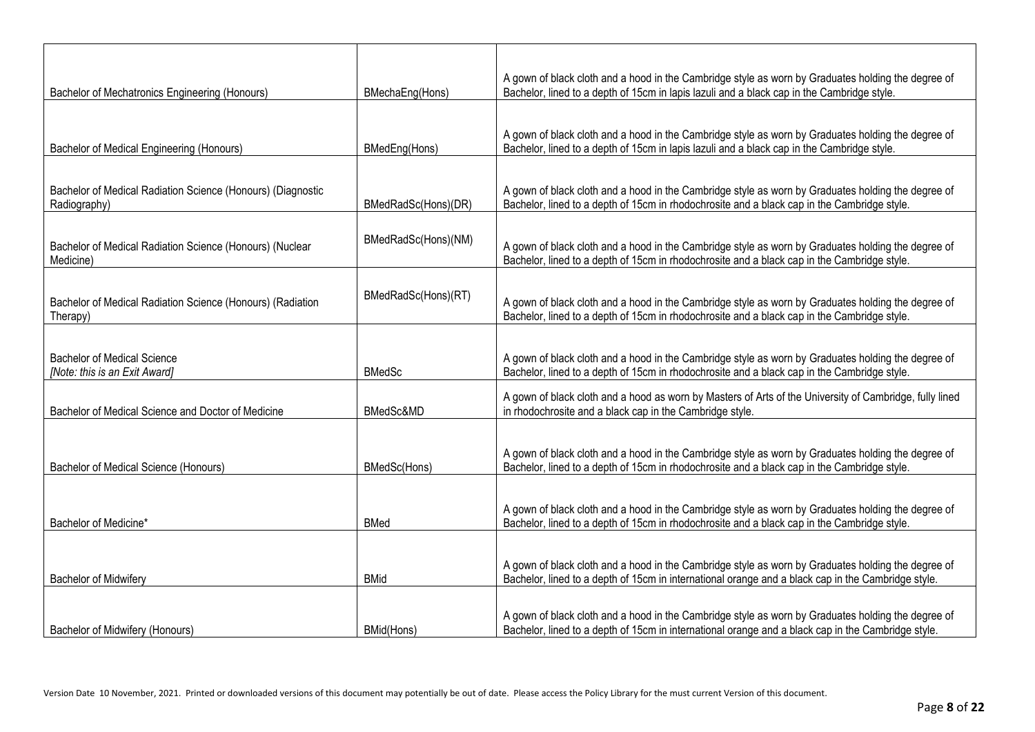| Bachelor of Mechatronics Engineering (Honours)                              | BMechaEng(Hons)     | A gown of black cloth and a hood in the Cambridge style as worn by Graduates holding the degree of<br>Bachelor, lined to a depth of 15cm in lapis lazuli and a black cap in the Cambridge style.         |
|-----------------------------------------------------------------------------|---------------------|----------------------------------------------------------------------------------------------------------------------------------------------------------------------------------------------------------|
|                                                                             |                     |                                                                                                                                                                                                          |
|                                                                             |                     | A gown of black cloth and a hood in the Cambridge style as worn by Graduates holding the degree of                                                                                                       |
| Bachelor of Medical Engineering (Honours)                                   | BMedEng(Hons)       | Bachelor, lined to a depth of 15cm in lapis lazuli and a black cap in the Cambridge style.                                                                                                               |
|                                                                             |                     |                                                                                                                                                                                                          |
| Bachelor of Medical Radiation Science (Honours) (Diagnostic<br>Radiography) | BMedRadSc(Hons)(DR) | A gown of black cloth and a hood in the Cambridge style as worn by Graduates holding the degree of<br>Bachelor, lined to a depth of 15cm in rhodochrosite and a black cap in the Cambridge style.        |
|                                                                             |                     |                                                                                                                                                                                                          |
| Bachelor of Medical Radiation Science (Honours) (Nuclear<br>Medicine)       | BMedRadSc(Hons)(NM) | A gown of black cloth and a hood in the Cambridge style as worn by Graduates holding the degree of<br>Bachelor, lined to a depth of 15cm in rhodochrosite and a black cap in the Cambridge style.        |
|                                                                             |                     |                                                                                                                                                                                                          |
| Bachelor of Medical Radiation Science (Honours) (Radiation<br>Therapy)      | BMedRadSc(Hons)(RT) | A gown of black cloth and a hood in the Cambridge style as worn by Graduates holding the degree of<br>Bachelor, lined to a depth of 15cm in rhodochrosite and a black cap in the Cambridge style.        |
|                                                                             |                     |                                                                                                                                                                                                          |
| <b>Bachelor of Medical Science</b><br>[Note: this is an Exit Award]         | <b>BMedSc</b>       | A gown of black cloth and a hood in the Cambridge style as worn by Graduates holding the degree of<br>Bachelor, lined to a depth of 15cm in rhodochrosite and a black cap in the Cambridge style.        |
| Bachelor of Medical Science and Doctor of Medicine                          | BMedSc&MD           | A gown of black cloth and a hood as worn by Masters of Arts of the University of Cambridge, fully lined<br>in rhodochrosite and a black cap in the Cambridge style.                                      |
|                                                                             |                     |                                                                                                                                                                                                          |
| Bachelor of Medical Science (Honours)                                       | BMedSc(Hons)        | A gown of black cloth and a hood in the Cambridge style as worn by Graduates holding the degree of<br>Bachelor, lined to a depth of 15cm in rhodochrosite and a black cap in the Cambridge style.        |
|                                                                             |                     |                                                                                                                                                                                                          |
|                                                                             |                     | A gown of black cloth and a hood in the Cambridge style as worn by Graduates holding the degree of                                                                                                       |
| Bachelor of Medicine*                                                       | <b>BMed</b>         | Bachelor, lined to a depth of 15cm in rhodochrosite and a black cap in the Cambridge style.                                                                                                              |
|                                                                             |                     |                                                                                                                                                                                                          |
| Bachelor of Midwifery                                                       | <b>BMid</b>         | A gown of black cloth and a hood in the Cambridge style as worn by Graduates holding the degree of<br>Bachelor, lined to a depth of 15cm in international orange and a black cap in the Cambridge style. |
|                                                                             |                     |                                                                                                                                                                                                          |
|                                                                             |                     | A gown of black cloth and a hood in the Cambridge style as worn by Graduates holding the degree of                                                                                                       |
| Bachelor of Midwifery (Honours)                                             | BMid(Hons)          | Bachelor, lined to a depth of 15cm in international orange and a black cap in the Cambridge style.                                                                                                       |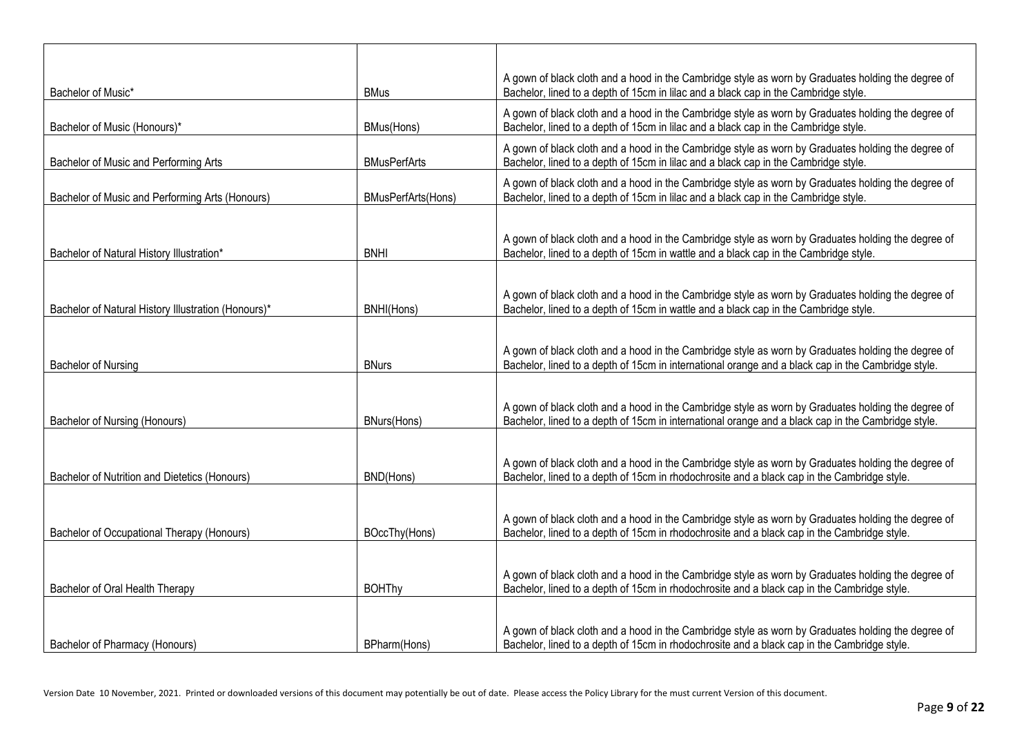| Bachelor of Music*                                  | <b>BMus</b>         | A gown of black cloth and a hood in the Cambridge style as worn by Graduates holding the degree of<br>Bachelor, lined to a depth of 15cm in lilac and a black cap in the Cambridge style.                |
|-----------------------------------------------------|---------------------|----------------------------------------------------------------------------------------------------------------------------------------------------------------------------------------------------------|
| Bachelor of Music (Honours)*                        | BMus(Hons)          | A gown of black cloth and a hood in the Cambridge style as worn by Graduates holding the degree of<br>Bachelor, lined to a depth of 15cm in lilac and a black cap in the Cambridge style.                |
| Bachelor of Music and Performing Arts               | <b>BMusPerfArts</b> | A gown of black cloth and a hood in the Cambridge style as worn by Graduates holding the degree of<br>Bachelor, lined to a depth of 15cm in lilac and a black cap in the Cambridge style.                |
| Bachelor of Music and Performing Arts (Honours)     | BMusPerfArts(Hons)  | A gown of black cloth and a hood in the Cambridge style as worn by Graduates holding the degree of<br>Bachelor, lined to a depth of 15cm in lilac and a black cap in the Cambridge style.                |
| Bachelor of Natural History Illustration*           | <b>BNHI</b>         | A gown of black cloth and a hood in the Cambridge style as worn by Graduates holding the degree of<br>Bachelor, lined to a depth of 15cm in wattle and a black cap in the Cambridge style.               |
| Bachelor of Natural History Illustration (Honours)* | BNHI(Hons)          | A gown of black cloth and a hood in the Cambridge style as worn by Graduates holding the degree of<br>Bachelor, lined to a depth of 15cm in wattle and a black cap in the Cambridge style.               |
| <b>Bachelor of Nursing</b>                          | <b>BNurs</b>        | A gown of black cloth and a hood in the Cambridge style as worn by Graduates holding the degree of<br>Bachelor, lined to a depth of 15cm in international orange and a black cap in the Cambridge style. |
| Bachelor of Nursing (Honours)                       | <b>BNurs(Hons)</b>  | A gown of black cloth and a hood in the Cambridge style as worn by Graduates holding the degree of<br>Bachelor, lined to a depth of 15cm in international orange and a black cap in the Cambridge style. |
| Bachelor of Nutrition and Dietetics (Honours)       | BND(Hons)           | A gown of black cloth and a hood in the Cambridge style as worn by Graduates holding the degree of<br>Bachelor, lined to a depth of 15cm in rhodochrosite and a black cap in the Cambridge style.        |
| Bachelor of Occupational Therapy (Honours)          | BOccThy(Hons)       | A gown of black cloth and a hood in the Cambridge style as worn by Graduates holding the degree of<br>Bachelor, lined to a depth of 15cm in rhodochrosite and a black cap in the Cambridge style.        |
| Bachelor of Oral Health Therapy                     | <b>BOHThy</b>       | A gown of black cloth and a hood in the Cambridge style as worn by Graduates holding the degree of<br>Bachelor, lined to a depth of 15cm in rhodochrosite and a black cap in the Cambridge style.        |
| Bachelor of Pharmacy (Honours)                      | BPharm(Hons)        | A gown of black cloth and a hood in the Cambridge style as worn by Graduates holding the degree of<br>Bachelor, lined to a depth of 15cm in rhodochrosite and a black cap in the Cambridge style.        |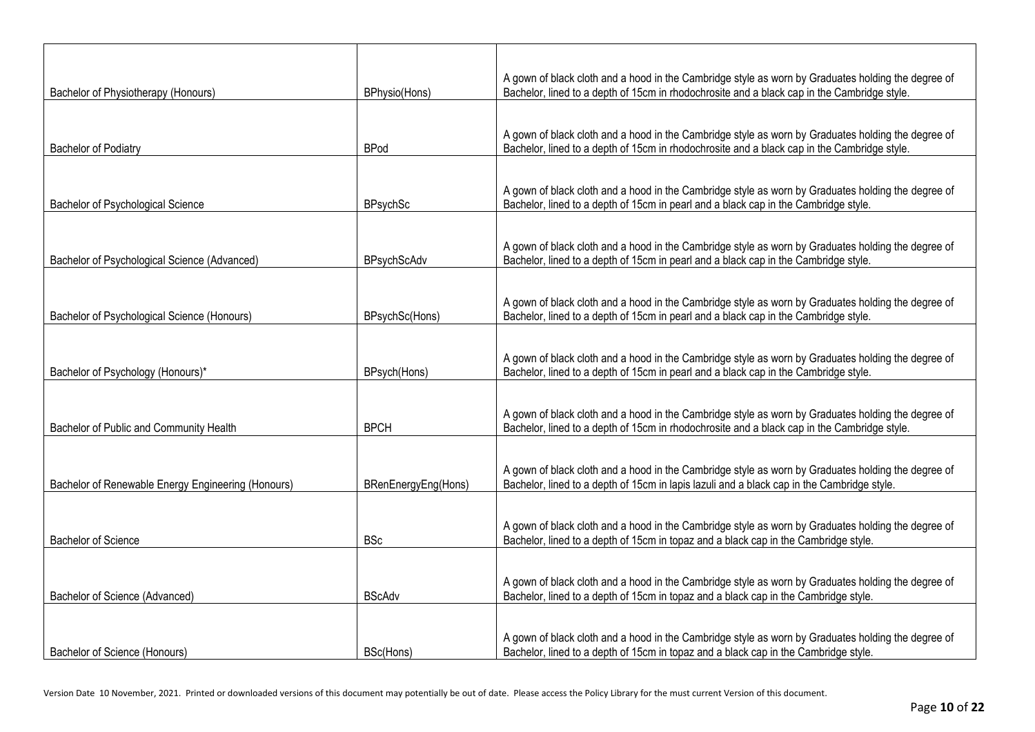|                                                    |                     | A gown of black cloth and a hood in the Cambridge style as worn by Graduates holding the degree of                                                                                        |
|----------------------------------------------------|---------------------|-------------------------------------------------------------------------------------------------------------------------------------------------------------------------------------------|
| Bachelor of Physiotherapy (Honours)                | BPhysio(Hons)       | Bachelor, lined to a depth of 15cm in rhodochrosite and a black cap in the Cambridge style.                                                                                               |
|                                                    |                     |                                                                                                                                                                                           |
|                                                    |                     | A gown of black cloth and a hood in the Cambridge style as worn by Graduates holding the degree of                                                                                        |
| Bachelor of Podiatry                               | <b>BPod</b>         | Bachelor, lined to a depth of 15cm in rhodochrosite and a black cap in the Cambridge style.                                                                                               |
|                                                    |                     |                                                                                                                                                                                           |
|                                                    |                     | A gown of black cloth and a hood in the Cambridge style as worn by Graduates holding the degree of                                                                                        |
| Bachelor of Psychological Science                  | <b>BPsychSc</b>     | Bachelor, lined to a depth of 15cm in pearl and a black cap in the Cambridge style.                                                                                                       |
|                                                    |                     |                                                                                                                                                                                           |
| Bachelor of Psychological Science (Advanced)       | BPsychScAdv         | A gown of black cloth and a hood in the Cambridge style as worn by Graduates holding the degree of<br>Bachelor, lined to a depth of 15cm in pearl and a black cap in the Cambridge style. |
|                                                    |                     |                                                                                                                                                                                           |
|                                                    |                     |                                                                                                                                                                                           |
| Bachelor of Psychological Science (Honours)        | BPsychSc(Hons)      | A gown of black cloth and a hood in the Cambridge style as worn by Graduates holding the degree of<br>Bachelor, lined to a depth of 15cm in pearl and a black cap in the Cambridge style. |
|                                                    |                     |                                                                                                                                                                                           |
|                                                    |                     | A gown of black cloth and a hood in the Cambridge style as worn by Graduates holding the degree of                                                                                        |
| Bachelor of Psychology (Honours)*                  | BPsych(Hons)        | Bachelor, lined to a depth of 15cm in pearl and a black cap in the Cambridge style.                                                                                                       |
|                                                    |                     |                                                                                                                                                                                           |
|                                                    |                     | A gown of black cloth and a hood in the Cambridge style as worn by Graduates holding the degree of                                                                                        |
| Bachelor of Public and Community Health            | <b>BPCH</b>         | Bachelor, lined to a depth of 15cm in rhodochrosite and a black cap in the Cambridge style.                                                                                               |
|                                                    |                     |                                                                                                                                                                                           |
|                                                    |                     | A gown of black cloth and a hood in the Cambridge style as worn by Graduates holding the degree of                                                                                        |
| Bachelor of Renewable Energy Engineering (Honours) | BRenEnergyEng(Hons) | Bachelor, lined to a depth of 15cm in lapis lazuli and a black cap in the Cambridge style.                                                                                                |
|                                                    |                     |                                                                                                                                                                                           |
| <b>Bachelor of Science</b>                         | <b>BSc</b>          | A gown of black cloth and a hood in the Cambridge style as worn by Graduates holding the degree of<br>Bachelor, lined to a depth of 15cm in topaz and a black cap in the Cambridge style. |
|                                                    |                     |                                                                                                                                                                                           |
|                                                    |                     |                                                                                                                                                                                           |
| Bachelor of Science (Advanced)                     | <b>BScAdv</b>       | A gown of black cloth and a hood in the Cambridge style as worn by Graduates holding the degree of<br>Bachelor, lined to a depth of 15cm in topaz and a black cap in the Cambridge style. |
|                                                    |                     |                                                                                                                                                                                           |
|                                                    |                     | A gown of black cloth and a hood in the Cambridge style as worn by Graduates holding the degree of                                                                                        |
| Bachelor of Science (Honours)                      | BSc(Hons)           | Bachelor, lined to a depth of 15cm in topaz and a black cap in the Cambridge style.                                                                                                       |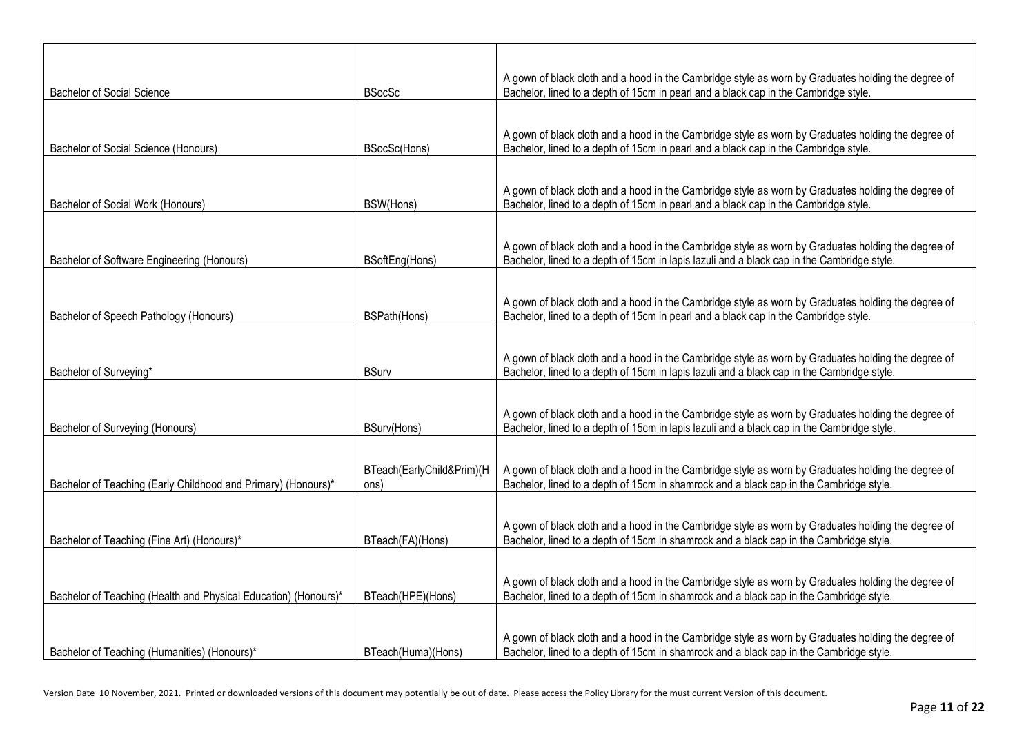| <b>Bachelor of Social Science</b>                               | <b>BSocSc</b>                     | A gown of black cloth and a hood in the Cambridge style as worn by Graduates holding the degree of<br>Bachelor, lined to a depth of 15cm in pearl and a black cap in the Cambridge style.        |
|-----------------------------------------------------------------|-----------------------------------|--------------------------------------------------------------------------------------------------------------------------------------------------------------------------------------------------|
|                                                                 |                                   |                                                                                                                                                                                                  |
| Bachelor of Social Science (Honours)                            | BSocSc(Hons)                      | A gown of black cloth and a hood in the Cambridge style as worn by Graduates holding the degree of<br>Bachelor, lined to a depth of 15cm in pearl and a black cap in the Cambridge style.        |
|                                                                 |                                   |                                                                                                                                                                                                  |
| Bachelor of Social Work (Honours)                               | BSW(Hons)                         | A gown of black cloth and a hood in the Cambridge style as worn by Graduates holding the degree of<br>Bachelor, lined to a depth of 15cm in pearl and a black cap in the Cambridge style.        |
|                                                                 |                                   |                                                                                                                                                                                                  |
| Bachelor of Software Engineering (Honours)                      | BSoftEng(Hons)                    | A gown of black cloth and a hood in the Cambridge style as worn by Graduates holding the degree of<br>Bachelor, lined to a depth of 15cm in lapis lazuli and a black cap in the Cambridge style. |
|                                                                 |                                   |                                                                                                                                                                                                  |
| Bachelor of Speech Pathology (Honours)                          | BSPath(Hons)                      | A gown of black cloth and a hood in the Cambridge style as worn by Graduates holding the degree of<br>Bachelor, lined to a depth of 15cm in pearl and a black cap in the Cambridge style.        |
|                                                                 |                                   |                                                                                                                                                                                                  |
| Bachelor of Surveying*                                          | <b>BSurv</b>                      | A gown of black cloth and a hood in the Cambridge style as worn by Graduates holding the degree of<br>Bachelor, lined to a depth of 15cm in lapis lazuli and a black cap in the Cambridge style. |
|                                                                 |                                   |                                                                                                                                                                                                  |
| Bachelor of Surveying (Honours)                                 | BSurv(Hons)                       | A gown of black cloth and a hood in the Cambridge style as worn by Graduates holding the degree of<br>Bachelor, lined to a depth of 15cm in lapis lazuli and a black cap in the Cambridge style. |
|                                                                 |                                   |                                                                                                                                                                                                  |
| Bachelor of Teaching (Early Childhood and Primary) (Honours)*   | BTeach(EarlyChild&Prim)(H<br>ons) | A gown of black cloth and a hood in the Cambridge style as worn by Graduates holding the degree of<br>Bachelor, lined to a depth of 15cm in shamrock and a black cap in the Cambridge style.     |
|                                                                 |                                   |                                                                                                                                                                                                  |
| Bachelor of Teaching (Fine Art) (Honours)*                      | BTeach(FA)(Hons)                  | A gown of black cloth and a hood in the Cambridge style as worn by Graduates holding the degree of<br>Bachelor, lined to a depth of 15cm in shamrock and a black cap in the Cambridge style.     |
|                                                                 |                                   |                                                                                                                                                                                                  |
| Bachelor of Teaching (Health and Physical Education) (Honours)* | BTeach(HPE)(Hons)                 | A gown of black cloth and a hood in the Cambridge style as worn by Graduates holding the degree of<br>Bachelor, lined to a depth of 15cm in shamrock and a black cap in the Cambridge style.     |
|                                                                 |                                   |                                                                                                                                                                                                  |
| Bachelor of Teaching (Humanities) (Honours)*                    | BTeach(Huma)(Hons)                | A gown of black cloth and a hood in the Cambridge style as worn by Graduates holding the degree of<br>Bachelor, lined to a depth of 15cm in shamrock and a black cap in the Cambridge style.     |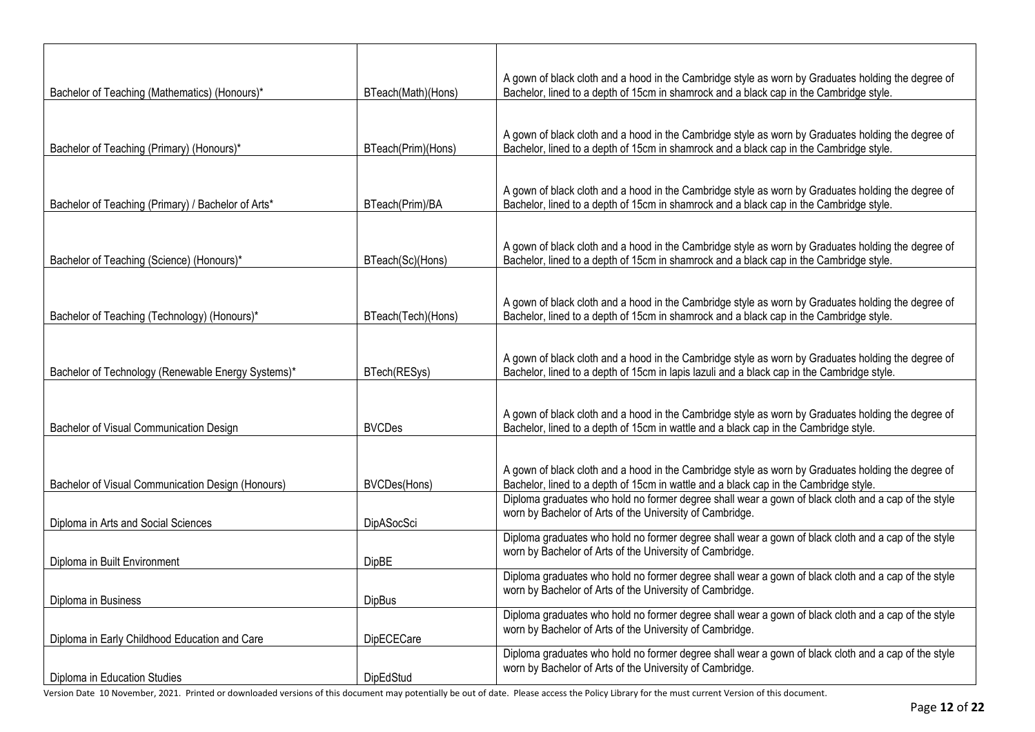|                                                    |                     | A gown of black cloth and a hood in the Cambridge style as worn by Graduates holding the degree of                                                                                          |
|----------------------------------------------------|---------------------|---------------------------------------------------------------------------------------------------------------------------------------------------------------------------------------------|
| Bachelor of Teaching (Mathematics) (Honours)*      | BTeach(Math)(Hons)  | Bachelor, lined to a depth of 15cm in shamrock and a black cap in the Cambridge style.                                                                                                      |
|                                                    |                     |                                                                                                                                                                                             |
|                                                    |                     | A gown of black cloth and a hood in the Cambridge style as worn by Graduates holding the degree of                                                                                          |
| Bachelor of Teaching (Primary) (Honours)*          | BTeach(Prim)(Hons)  | Bachelor, lined to a depth of 15cm in shamrock and a black cap in the Cambridge style.                                                                                                      |
|                                                    |                     |                                                                                                                                                                                             |
|                                                    |                     | A gown of black cloth and a hood in the Cambridge style as worn by Graduates holding the degree of                                                                                          |
| Bachelor of Teaching (Primary) / Bachelor of Arts* | BTeach(Prim)/BA     | Bachelor, lined to a depth of 15cm in shamrock and a black cap in the Cambridge style.                                                                                                      |
|                                                    |                     |                                                                                                                                                                                             |
|                                                    |                     | A gown of black cloth and a hood in the Cambridge style as worn by Graduates holding the degree of                                                                                          |
| Bachelor of Teaching (Science) (Honours)*          | BTeach(Sc)(Hons)    | Bachelor, lined to a depth of 15cm in shamrock and a black cap in the Cambridge style.                                                                                                      |
|                                                    |                     |                                                                                                                                                                                             |
|                                                    |                     | A gown of black cloth and a hood in the Cambridge style as worn by Graduates holding the degree of                                                                                          |
| Bachelor of Teaching (Technology) (Honours)*       | BTeach(Tech)(Hons)  | Bachelor, lined to a depth of 15cm in shamrock and a black cap in the Cambridge style.                                                                                                      |
|                                                    |                     |                                                                                                                                                                                             |
|                                                    |                     | A gown of black cloth and a hood in the Cambridge style as worn by Graduates holding the degree of                                                                                          |
| Bachelor of Technology (Renewable Energy Systems)* | BTech(RESys)        | Bachelor, lined to a depth of 15cm in lapis lazuli and a black cap in the Cambridge style.                                                                                                  |
|                                                    |                     |                                                                                                                                                                                             |
|                                                    |                     | A gown of black cloth and a hood in the Cambridge style as worn by Graduates holding the degree of                                                                                          |
| Bachelor of Visual Communication Design            | <b>BVCDes</b>       | Bachelor, lined to a depth of 15cm in wattle and a black cap in the Cambridge style.                                                                                                        |
|                                                    |                     |                                                                                                                                                                                             |
|                                                    |                     | A gown of black cloth and a hood in the Cambridge style as worn by Graduates holding the degree of                                                                                          |
| Bachelor of Visual Communication Design (Honours)  | <b>BVCDes(Hons)</b> | Bachelor, lined to a depth of 15cm in wattle and a black cap in the Cambridge style.<br>Diploma graduates who hold no former degree shall wear a gown of black cloth and a cap of the style |
|                                                    |                     | worn by Bachelor of Arts of the University of Cambridge.                                                                                                                                    |
| Diploma in Arts and Social Sciences                | DipASocSci          | Diploma graduates who hold no former degree shall wear a gown of black cloth and a cap of the style                                                                                         |
|                                                    |                     | worn by Bachelor of Arts of the University of Cambridge.                                                                                                                                    |
| Diploma in Built Environment                       | <b>DipBE</b>        | Diploma graduates who hold no former degree shall wear a gown of black cloth and a cap of the style                                                                                         |
|                                                    |                     | worn by Bachelor of Arts of the University of Cambridge.                                                                                                                                    |
| Diploma in Business                                | <b>DipBus</b>       | Diploma graduates who hold no former degree shall wear a gown of black cloth and a cap of the style                                                                                         |
|                                                    |                     | worn by Bachelor of Arts of the University of Cambridge.                                                                                                                                    |
| Diploma in Early Childhood Education and Care      | DipECECare          | Diploma graduates who hold no former degree shall wear a gown of black cloth and a cap of the style                                                                                         |
|                                                    |                     | worn by Bachelor of Arts of the University of Cambridge.                                                                                                                                    |
| Diploma in Education Studies                       | DipEdStud           |                                                                                                                                                                                             |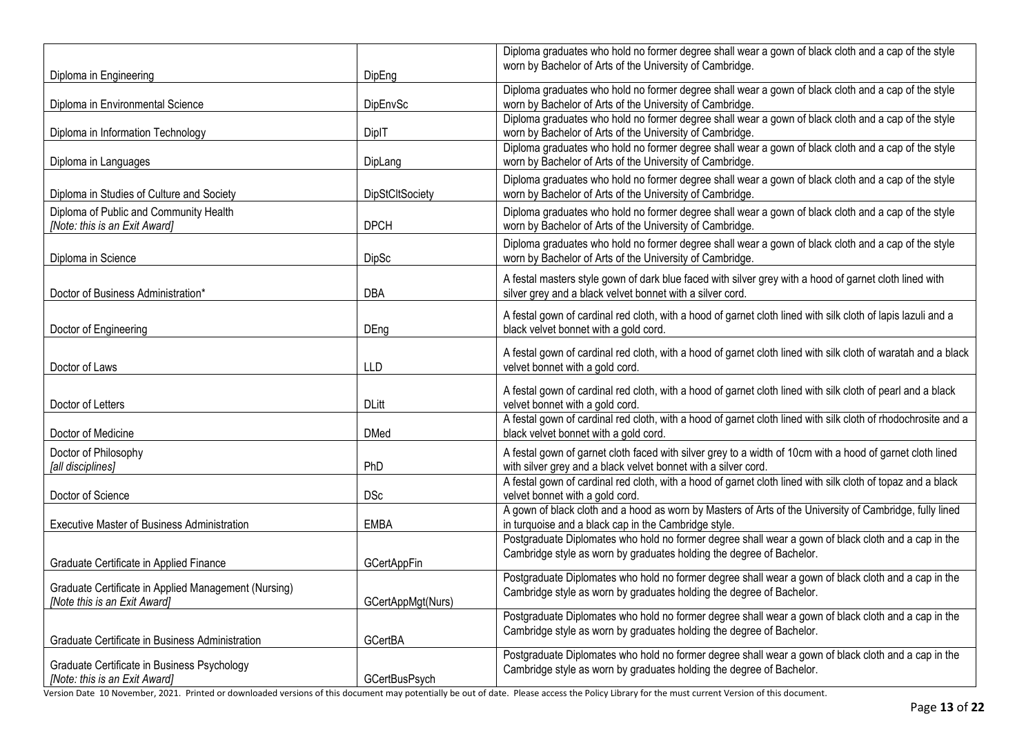|                                                                                      |                        | Diploma graduates who hold no former degree shall wear a gown of black cloth and a cap of the style                                                                         |
|--------------------------------------------------------------------------------------|------------------------|-----------------------------------------------------------------------------------------------------------------------------------------------------------------------------|
| Diploma in Engineering                                                               | DipEng                 | worn by Bachelor of Arts of the University of Cambridge.                                                                                                                    |
| Diploma in Environmental Science                                                     | DipEnvSc               | Diploma graduates who hold no former degree shall wear a gown of black cloth and a cap of the style<br>worn by Bachelor of Arts of the University of Cambridge.             |
|                                                                                      |                        | Diploma graduates who hold no former degree shall wear a gown of black cloth and a cap of the style                                                                         |
| Diploma in Information Technology                                                    | DiplT                  | worn by Bachelor of Arts of the University of Cambridge.                                                                                                                    |
| Diploma in Languages                                                                 | DipLang                | Diploma graduates who hold no former degree shall wear a gown of black cloth and a cap of the style<br>worn by Bachelor of Arts of the University of Cambridge.             |
| Diploma in Studies of Culture and Society                                            | <b>DipStCItSociety</b> | Diploma graduates who hold no former degree shall wear a gown of black cloth and a cap of the style<br>worn by Bachelor of Arts of the University of Cambridge.             |
| Diploma of Public and Community Health<br>[Note: this is an Exit Award]              | <b>DPCH</b>            | Diploma graduates who hold no former degree shall wear a gown of black cloth and a cap of the style<br>worn by Bachelor of Arts of the University of Cambridge.             |
| Diploma in Science                                                                   | <b>DipSc</b>           | Diploma graduates who hold no former degree shall wear a gown of black cloth and a cap of the style<br>worn by Bachelor of Arts of the University of Cambridge.             |
| Doctor of Business Administration*                                                   | <b>DBA</b>             | A festal masters style gown of dark blue faced with silver grey with a hood of garnet cloth lined with<br>silver grey and a black velvet bonnet with a silver cord.         |
| Doctor of Engineering                                                                | DEng                   | A festal gown of cardinal red cloth, with a hood of garnet cloth lined with silk cloth of lapis lazuli and a<br>black velvet bonnet with a gold cord.                       |
| Doctor of Laws                                                                       | <b>LLD</b>             | A festal gown of cardinal red cloth, with a hood of garnet cloth lined with silk cloth of waratah and a black<br>velvet bonnet with a gold cord.                            |
| Doctor of Letters                                                                    | <b>DLitt</b>           | A festal gown of cardinal red cloth, with a hood of garnet cloth lined with silk cloth of pearl and a black<br>velvet bonnet with a gold cord.                              |
| Doctor of Medicine                                                                   | <b>DMed</b>            | A festal gown of cardinal red cloth, with a hood of garnet cloth lined with silk cloth of rhodochrosite and a<br>black velvet bonnet with a gold cord.                      |
| Doctor of Philosophy<br>[all disciplines]                                            | PhD                    | A festal gown of garnet cloth faced with silver grey to a width of 10cm with a hood of garnet cloth lined<br>with silver grey and a black velvet bonnet with a silver cord. |
| Doctor of Science                                                                    | <b>DSc</b>             | A festal gown of cardinal red cloth, with a hood of garnet cloth lined with silk cloth of topaz and a black<br>velvet bonnet with a gold cord.                              |
| <b>Executive Master of Business Administration</b>                                   | <b>EMBA</b>            | A gown of black cloth and a hood as worn by Masters of Arts of the University of Cambridge, fully lined<br>in turquoise and a black cap in the Cambridge style.             |
|                                                                                      |                        | Postgraduate Diplomates who hold no former degree shall wear a gown of black cloth and a cap in the<br>Cambridge style as worn by graduates holding the degree of Bachelor. |
| Graduate Certificate in Applied Finance                                              | <b>GCertAppFin</b>     |                                                                                                                                                                             |
| Graduate Certificate in Applied Management (Nursing)<br>[Note this is an Exit Award] | GCertAppMgt(Nurs)      | Postgraduate Diplomates who hold no former degree shall wear a gown of black cloth and a cap in the<br>Cambridge style as worn by graduates holding the degree of Bachelor. |
|                                                                                      |                        | Postgraduate Diplomates who hold no former degree shall wear a gown of black cloth and a cap in the                                                                         |
| Graduate Certificate in Business Administration                                      | GCertBA                | Cambridge style as worn by graduates holding the degree of Bachelor.                                                                                                        |
| Graduate Certificate in Business Psychology<br>[Note: this is an Exit Award]         | <b>GCertBusPsych</b>   | Postgraduate Diplomates who hold no former degree shall wear a gown of black cloth and a cap in the<br>Cambridge style as worn by graduates holding the degree of Bachelor. |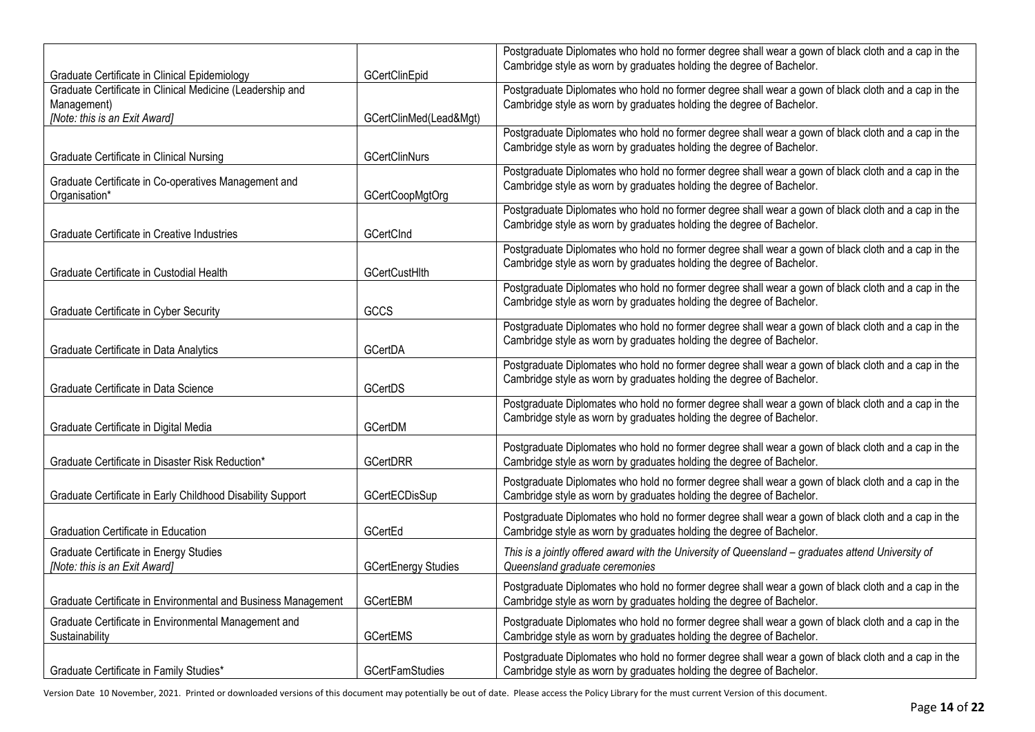|                                                               |                            | Postgraduate Diplomates who hold no former degree shall wear a gown of black cloth and a cap in the<br>Cambridge style as worn by graduates holding the degree of Bachelor. |
|---------------------------------------------------------------|----------------------------|-----------------------------------------------------------------------------------------------------------------------------------------------------------------------------|
| Graduate Certificate in Clinical Epidemiology                 | GCertClinEpid              |                                                                                                                                                                             |
| Graduate Certificate in Clinical Medicine (Leadership and     |                            | Postgraduate Diplomates who hold no former degree shall wear a gown of black cloth and a cap in the                                                                         |
| Management)                                                   |                            | Cambridge style as worn by graduates holding the degree of Bachelor.                                                                                                        |
| [Note: this is an Exit Award]                                 | GCertClinMed(Lead&Mgt)     |                                                                                                                                                                             |
|                                                               |                            | Postgraduate Diplomates who hold no former degree shall wear a gown of black cloth and a cap in the                                                                         |
| Graduate Certificate in Clinical Nursing                      | <b>GCertClinNurs</b>       | Cambridge style as worn by graduates holding the degree of Bachelor.                                                                                                        |
|                                                               |                            | Postgraduate Diplomates who hold no former degree shall wear a gown of black cloth and a cap in the                                                                         |
| Graduate Certificate in Co-operatives Management and          |                            | Cambridge style as worn by graduates holding the degree of Bachelor.                                                                                                        |
| Organisation*                                                 | GCertCoopMgtOrg            |                                                                                                                                                                             |
|                                                               |                            | Postgraduate Diplomates who hold no former degree shall wear a gown of black cloth and a cap in the                                                                         |
|                                                               |                            | Cambridge style as worn by graduates holding the degree of Bachelor.                                                                                                        |
| Graduate Certificate in Creative Industries                   | GCertCInd                  |                                                                                                                                                                             |
|                                                               |                            | Postgraduate Diplomates who hold no former degree shall wear a gown of black cloth and a cap in the                                                                         |
| Graduate Certificate in Custodial Health                      | <b>GCertCustHlth</b>       | Cambridge style as worn by graduates holding the degree of Bachelor.                                                                                                        |
|                                                               |                            | Postgraduate Diplomates who hold no former degree shall wear a gown of black cloth and a cap in the                                                                         |
|                                                               |                            | Cambridge style as worn by graduates holding the degree of Bachelor.                                                                                                        |
| Graduate Certificate in Cyber Security                        | GCCS                       |                                                                                                                                                                             |
|                                                               |                            | Postgraduate Diplomates who hold no former degree shall wear a gown of black cloth and a cap in the                                                                         |
| Graduate Certificate in Data Analytics                        | GCertDA                    | Cambridge style as worn by graduates holding the degree of Bachelor.                                                                                                        |
|                                                               |                            | Postgraduate Diplomates who hold no former degree shall wear a gown of black cloth and a cap in the                                                                         |
|                                                               |                            | Cambridge style as worn by graduates holding the degree of Bachelor.                                                                                                        |
| Graduate Certificate in Data Science                          | GCertDS                    |                                                                                                                                                                             |
|                                                               |                            | Postgraduate Diplomates who hold no former degree shall wear a gown of black cloth and a cap in the                                                                         |
| Graduate Certificate in Digital Media                         | GCertDM                    | Cambridge style as worn by graduates holding the degree of Bachelor.                                                                                                        |
|                                                               |                            |                                                                                                                                                                             |
|                                                               |                            | Postgraduate Diplomates who hold no former degree shall wear a gown of black cloth and a cap in the                                                                         |
| Graduate Certificate in Disaster Risk Reduction*              | <b>GCertDRR</b>            | Cambridge style as worn by graduates holding the degree of Bachelor.                                                                                                        |
|                                                               |                            | Postgraduate Diplomates who hold no former degree shall wear a gown of black cloth and a cap in the                                                                         |
| Graduate Certificate in Early Childhood Disability Support    | GCertECDisSup              | Cambridge style as worn by graduates holding the degree of Bachelor.                                                                                                        |
|                                                               |                            | Postgraduate Diplomates who hold no former degree shall wear a gown of black cloth and a cap in the                                                                         |
| Graduation Certificate in Education                           | GCertEd                    | Cambridge style as worn by graduates holding the degree of Bachelor.                                                                                                        |
|                                                               |                            |                                                                                                                                                                             |
| Graduate Certificate in Energy Studies                        |                            | This is a jointly offered award with the University of Queensland - graduates attend University of                                                                          |
| [Note: this is an Exit Award]                                 | <b>GCertEnergy Studies</b> | Queensland graduate ceremonies                                                                                                                                              |
|                                                               |                            | Postgraduate Diplomates who hold no former degree shall wear a gown of black cloth and a cap in the                                                                         |
| Graduate Certificate in Environmental and Business Management | <b>GCertEBM</b>            | Cambridge style as worn by graduates holding the degree of Bachelor.                                                                                                        |
| Graduate Certificate in Environmental Management and          |                            | Postgraduate Diplomates who hold no former degree shall wear a gown of black cloth and a cap in the                                                                         |
| Sustainability                                                | <b>GCertEMS</b>            | Cambridge style as worn by graduates holding the degree of Bachelor.                                                                                                        |
|                                                               |                            |                                                                                                                                                                             |
| Graduate Certificate in Family Studies*                       | <b>GCertFamStudies</b>     | Postgraduate Diplomates who hold no former degree shall wear a gown of black cloth and a cap in the<br>Cambridge style as worn by graduates holding the degree of Bachelor. |
|                                                               |                            |                                                                                                                                                                             |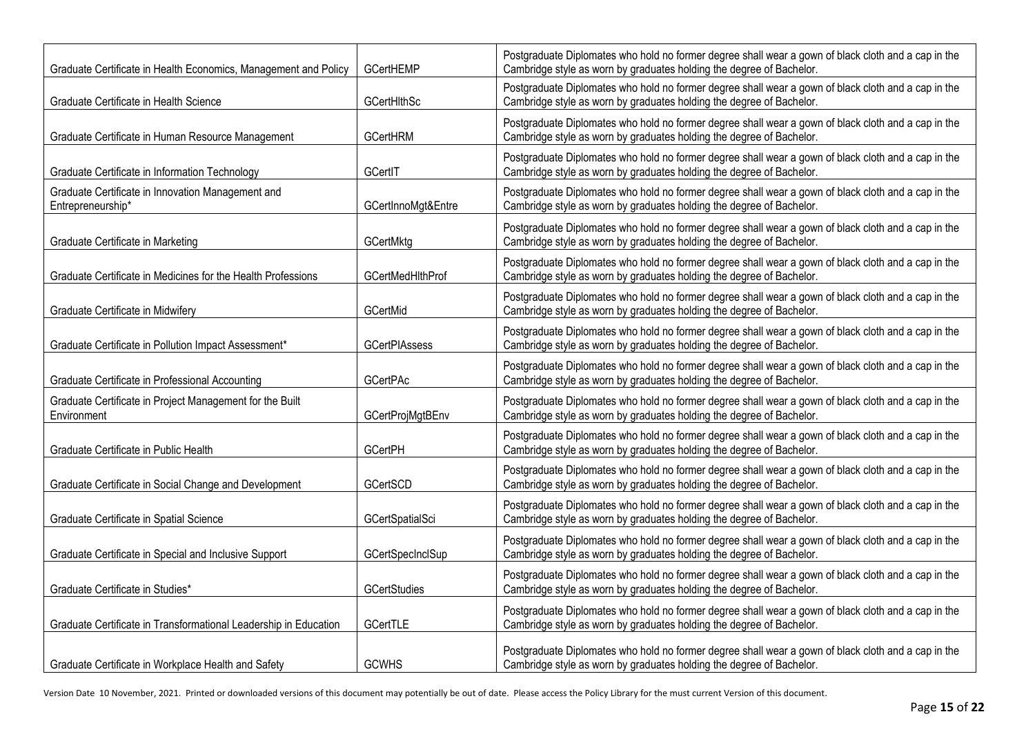| Graduate Certificate in Health Economics, Management and Policy         | GCertHEMP               | Postgraduate Diplomates who hold no former degree shall wear a gown of black cloth and a cap in the<br>Cambridge style as worn by graduates holding the degree of Bachelor. |
|-------------------------------------------------------------------------|-------------------------|-----------------------------------------------------------------------------------------------------------------------------------------------------------------------------|
| Graduate Certificate in Health Science                                  | GCertHithSc             | Postgraduate Diplomates who hold no former degree shall wear a gown of black cloth and a cap in the<br>Cambridge style as worn by graduates holding the degree of Bachelor. |
| Graduate Certificate in Human Resource Management                       | <b>GCertHRM</b>         | Postgraduate Diplomates who hold no former degree shall wear a gown of black cloth and a cap in the<br>Cambridge style as worn by graduates holding the degree of Bachelor. |
| Graduate Certificate in Information Technology                          | GCertIT                 | Postgraduate Diplomates who hold no former degree shall wear a gown of black cloth and a cap in the<br>Cambridge style as worn by graduates holding the degree of Bachelor. |
| Graduate Certificate in Innovation Management and<br>Entrepreneurship*  | GCertInnoMgt&Entre      | Postgraduate Diplomates who hold no former degree shall wear a gown of black cloth and a cap in the<br>Cambridge style as worn by graduates holding the degree of Bachelor. |
| Graduate Certificate in Marketing                                       | GCertMktg               | Postgraduate Diplomates who hold no former degree shall wear a gown of black cloth and a cap in the<br>Cambridge style as worn by graduates holding the degree of Bachelor. |
| Graduate Certificate in Medicines for the Health Professions            | GCertMedHlthProf        | Postgraduate Diplomates who hold no former degree shall wear a gown of black cloth and a cap in the<br>Cambridge style as worn by graduates holding the degree of Bachelor. |
| Graduate Certificate in Midwifery                                       | GCertMid                | Postgraduate Diplomates who hold no former degree shall wear a gown of black cloth and a cap in the<br>Cambridge style as worn by graduates holding the degree of Bachelor. |
| Graduate Certificate in Pollution Impact Assessment*                    | <b>GCertPIAssess</b>    | Postgraduate Diplomates who hold no former degree shall wear a gown of black cloth and a cap in the<br>Cambridge style as worn by graduates holding the degree of Bachelor. |
| Graduate Certificate in Professional Accounting                         | <b>GCertPAc</b>         | Postgraduate Diplomates who hold no former degree shall wear a gown of black cloth and a cap in the<br>Cambridge style as worn by graduates holding the degree of Bachelor. |
| Graduate Certificate in Project Management for the Built<br>Environment | <b>GCertProjMgtBEnv</b> | Postgraduate Diplomates who hold no former degree shall wear a gown of black cloth and a cap in the<br>Cambridge style as worn by graduates holding the degree of Bachelor. |
| Graduate Certificate in Public Health                                   | <b>GCertPH</b>          | Postgraduate Diplomates who hold no former degree shall wear a gown of black cloth and a cap in the<br>Cambridge style as worn by graduates holding the degree of Bachelor. |
| Graduate Certificate in Social Change and Development                   | GCertSCD                | Postgraduate Diplomates who hold no former degree shall wear a gown of black cloth and a cap in the<br>Cambridge style as worn by graduates holding the degree of Bachelor. |
| Graduate Certificate in Spatial Science                                 | GCertSpatialSci         | Postgraduate Diplomates who hold no former degree shall wear a gown of black cloth and a cap in the<br>Cambridge style as worn by graduates holding the degree of Bachelor. |
| Graduate Certificate in Special and Inclusive Support                   | GCertSpecInclSup        | Postgraduate Diplomates who hold no former degree shall wear a gown of black cloth and a cap in the<br>Cambridge style as worn by graduates holding the degree of Bachelor. |
| Graduate Certificate in Studies*                                        | GCertStudies            | Postgraduate Diplomates who hold no former degree shall wear a gown of black cloth and a cap in the<br>Cambridge style as worn by graduates holding the degree of Bachelor. |
| Graduate Certificate in Transformational Leadership in Education        | GCertTLE                | Postgraduate Diplomates who hold no former degree shall wear a gown of black cloth and a cap in the<br>Cambridge style as worn by graduates holding the degree of Bachelor. |
| Graduate Certificate in Workplace Health and Safety                     | <b>GCWHS</b>            | Postgraduate Diplomates who hold no former degree shall wear a gown of black cloth and a cap in the<br>Cambridge style as worn by graduates holding the degree of Bachelor. |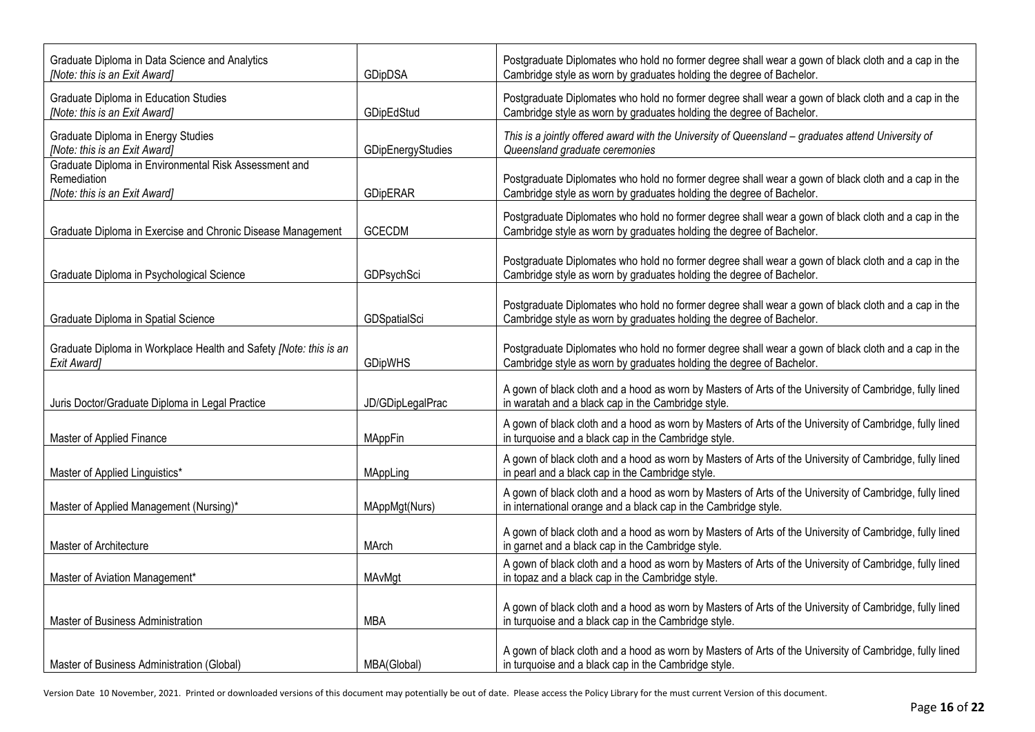| Graduate Diploma in Data Science and Analytics<br>[Note: this is an Exit Award]                       | GDipDSA           | Postgraduate Diplomates who hold no former degree shall wear a gown of black cloth and a cap in the<br>Cambridge style as worn by graduates holding the degree of Bachelor. |
|-------------------------------------------------------------------------------------------------------|-------------------|-----------------------------------------------------------------------------------------------------------------------------------------------------------------------------|
| Graduate Diploma in Education Studies<br>[Note: this is an Exit Award]                                | GDipEdStud        | Postgraduate Diplomates who hold no former degree shall wear a gown of black cloth and a cap in the<br>Cambridge style as worn by graduates holding the degree of Bachelor. |
| Graduate Diploma in Energy Studies<br>[Note: this is an Exit Award]                                   | GDipEnergyStudies | This is a jointly offered award with the University of Queensland - graduates attend University of<br>Queensland graduate ceremonies                                        |
| Graduate Diploma in Environmental Risk Assessment and<br>Remediation<br>[Note: this is an Exit Award] | <b>GDipERAR</b>   | Postgraduate Diplomates who hold no former degree shall wear a gown of black cloth and a cap in the<br>Cambridge style as worn by graduates holding the degree of Bachelor. |
| Graduate Diploma in Exercise and Chronic Disease Management                                           | <b>GCECDM</b>     | Postgraduate Diplomates who hold no former degree shall wear a gown of black cloth and a cap in the<br>Cambridge style as worn by graduates holding the degree of Bachelor. |
| Graduate Diploma in Psychological Science                                                             | GDPsychSci        | Postgraduate Diplomates who hold no former degree shall wear a gown of black cloth and a cap in the<br>Cambridge style as worn by graduates holding the degree of Bachelor. |
| Graduate Diploma in Spatial Science                                                                   | GDSpatialSci      | Postgraduate Diplomates who hold no former degree shall wear a gown of black cloth and a cap in the<br>Cambridge style as worn by graduates holding the degree of Bachelor. |
| Graduate Diploma in Workplace Health and Safety [Note: this is an<br>Exit Award]                      | <b>GDipWHS</b>    | Postgraduate Diplomates who hold no former degree shall wear a gown of black cloth and a cap in the<br>Cambridge style as worn by graduates holding the degree of Bachelor. |
| Juris Doctor/Graduate Diploma in Legal Practice                                                       | JD/GDipLegalPrac  | A gown of black cloth and a hood as worn by Masters of Arts of the University of Cambridge, fully lined<br>in waratah and a black cap in the Cambridge style.               |
| Master of Applied Finance                                                                             | <b>MAppFin</b>    | A gown of black cloth and a hood as worn by Masters of Arts of the University of Cambridge, fully lined<br>in turquoise and a black cap in the Cambridge style.             |
| Master of Applied Linguistics*                                                                        | MAppLing          | A gown of black cloth and a hood as worn by Masters of Arts of the University of Cambridge, fully lined<br>in pearl and a black cap in the Cambridge style.                 |
| Master of Applied Management (Nursing)*                                                               | MAppMgt(Nurs)     | A gown of black cloth and a hood as worn by Masters of Arts of the University of Cambridge, fully lined<br>in international orange and a black cap in the Cambridge style.  |
| Master of Architecture                                                                                | MArch             | A gown of black cloth and a hood as worn by Masters of Arts of the University of Cambridge, fully lined<br>in garnet and a black cap in the Cambridge style.                |
| Master of Aviation Management*                                                                        | MAvMgt            | A gown of black cloth and a hood as worn by Masters of Arts of the University of Cambridge, fully lined<br>in topaz and a black cap in the Cambridge style.                 |
| Master of Business Administration                                                                     | <b>MBA</b>        | A gown of black cloth and a hood as worn by Masters of Arts of the University of Cambridge, fully lined<br>in turquoise and a black cap in the Cambridge style.             |
| Master of Business Administration (Global)                                                            | MBA(Global)       | A gown of black cloth and a hood as worn by Masters of Arts of the University of Cambridge, fully lined<br>in turquoise and a black cap in the Cambridge style.             |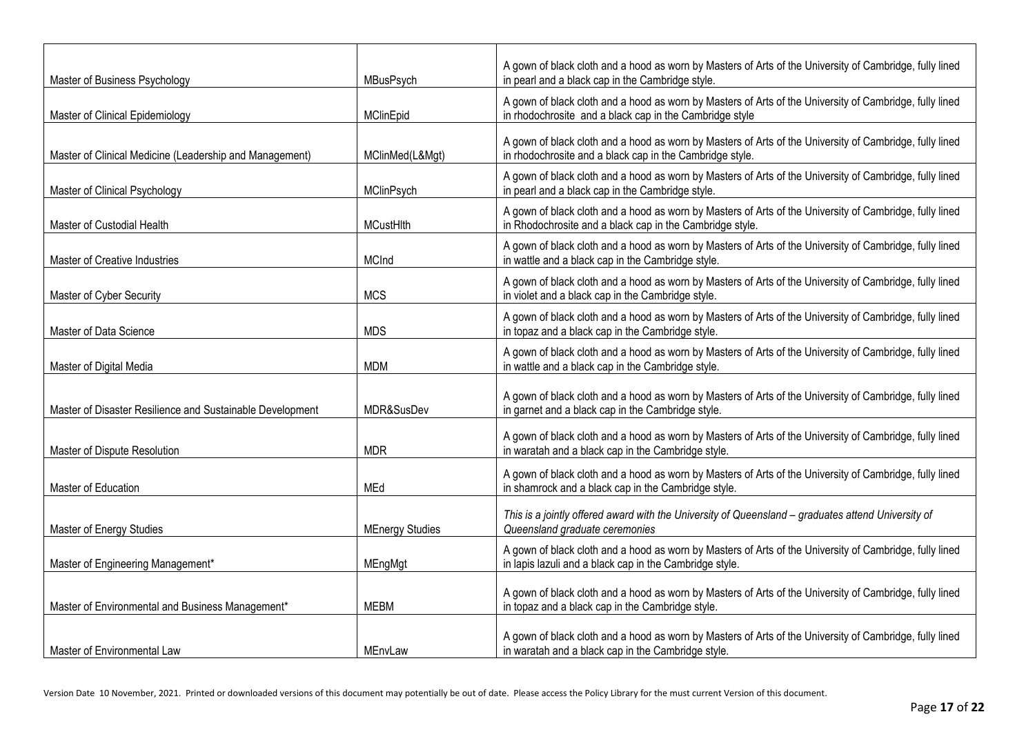| Master of Business Psychology                             | MBusPsych              | A gown of black cloth and a hood as worn by Masters of Arts of the University of Cambridge, fully lined<br>in pearl and a black cap in the Cambridge style.         |
|-----------------------------------------------------------|------------------------|---------------------------------------------------------------------------------------------------------------------------------------------------------------------|
| Master of Clinical Epidemiology                           | <b>MClinEpid</b>       | A gown of black cloth and a hood as worn by Masters of Arts of the University of Cambridge, fully lined<br>in rhodochrosite and a black cap in the Cambridge style  |
| Master of Clinical Medicine (Leadership and Management)   | MClinMed(L&Mgt)        | A gown of black cloth and a hood as worn by Masters of Arts of the University of Cambridge, fully lined<br>in rhodochrosite and a black cap in the Cambridge style. |
| Master of Clinical Psychology                             | MClinPsych             | A gown of black cloth and a hood as worn by Masters of Arts of the University of Cambridge, fully lined<br>in pearl and a black cap in the Cambridge style.         |
| Master of Custodial Health                                | MCustHlth              | A gown of black cloth and a hood as worn by Masters of Arts of the University of Cambridge, fully lined<br>in Rhodochrosite and a black cap in the Cambridge style. |
| Master of Creative Industries                             | <b>MCInd</b>           | A gown of black cloth and a hood as worn by Masters of Arts of the University of Cambridge, fully lined<br>in wattle and a black cap in the Cambridge style.        |
| Master of Cyber Security                                  | <b>MCS</b>             | A gown of black cloth and a hood as worn by Masters of Arts of the University of Cambridge, fully lined<br>in violet and a black cap in the Cambridge style.        |
| Master of Data Science                                    | <b>MDS</b>             | A gown of black cloth and a hood as worn by Masters of Arts of the University of Cambridge, fully lined<br>in topaz and a black cap in the Cambridge style.         |
| Master of Digital Media                                   | MDM                    | A gown of black cloth and a hood as worn by Masters of Arts of the University of Cambridge, fully lined<br>in wattle and a black cap in the Cambridge style.        |
| Master of Disaster Resilience and Sustainable Development | MDR&SusDev             | A gown of black cloth and a hood as worn by Masters of Arts of the University of Cambridge, fully lined<br>in garnet and a black cap in the Cambridge style.        |
| Master of Dispute Resolution                              | <b>MDR</b>             | A gown of black cloth and a hood as worn by Masters of Arts of the University of Cambridge, fully lined<br>in waratah and a black cap in the Cambridge style.       |
| Master of Education                                       | <b>MEd</b>             | A gown of black cloth and a hood as worn by Masters of Arts of the University of Cambridge, fully lined<br>in shamrock and a black cap in the Cambridge style.      |
| Master of Energy Studies                                  | <b>MEnergy Studies</b> | This is a jointly offered award with the University of Queensland - graduates attend University of<br>Queensland graduate ceremonies                                |
| Master of Engineering Management*                         | MEngMgt                | A gown of black cloth and a hood as worn by Masters of Arts of the University of Cambridge, fully lined<br>in lapis lazuli and a black cap in the Cambridge style.  |
| Master of Environmental and Business Management*          | <b>MEBM</b>            | A gown of black cloth and a hood as worn by Masters of Arts of the University of Cambridge, fully lined<br>in topaz and a black cap in the Cambridge style.         |
| Master of Environmental Law                               | MEnvLaw                | A gown of black cloth and a hood as worn by Masters of Arts of the University of Cambridge, fully lined<br>in waratah and a black cap in the Cambridge style.       |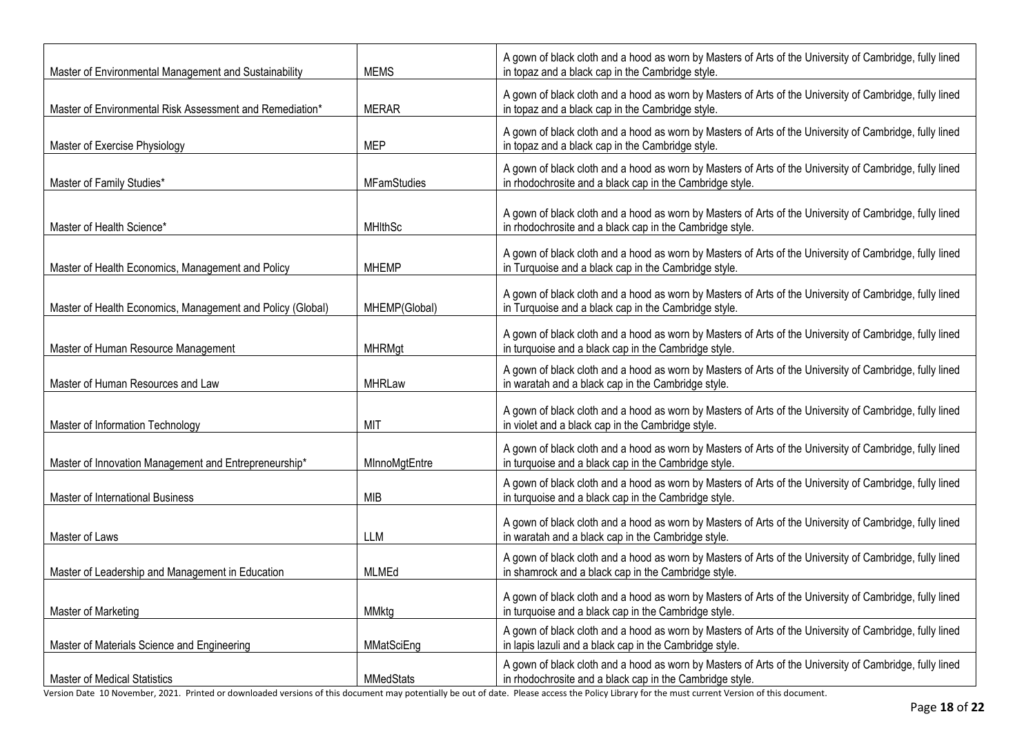| Master of Environmental Management and Sustainability      | <b>MEMS</b>        | A gown of black cloth and a hood as worn by Masters of Arts of the University of Cambridge, fully lined<br>in topaz and a black cap in the Cambridge style.         |
|------------------------------------------------------------|--------------------|---------------------------------------------------------------------------------------------------------------------------------------------------------------------|
| Master of Environmental Risk Assessment and Remediation*   | <b>MERAR</b>       | A gown of black cloth and a hood as worn by Masters of Arts of the University of Cambridge, fully lined<br>in topaz and a black cap in the Cambridge style.         |
| Master of Exercise Physiology                              | <b>MEP</b>         | A gown of black cloth and a hood as worn by Masters of Arts of the University of Cambridge, fully lined<br>in topaz and a black cap in the Cambridge style.         |
| Master of Family Studies*                                  | <b>MFamStudies</b> | A gown of black cloth and a hood as worn by Masters of Arts of the University of Cambridge, fully lined<br>in rhodochrosite and a black cap in the Cambridge style. |
| Master of Health Science*                                  | <b>MHIthSc</b>     | A gown of black cloth and a hood as worn by Masters of Arts of the University of Cambridge, fully lined<br>in rhodochrosite and a black cap in the Cambridge style. |
| Master of Health Economics, Management and Policy          | <b>MHEMP</b>       | A gown of black cloth and a hood as worn by Masters of Arts of the University of Cambridge, fully lined<br>in Turquoise and a black cap in the Cambridge style.     |
| Master of Health Economics, Management and Policy (Global) | MHEMP(Global)      | A gown of black cloth and a hood as worn by Masters of Arts of the University of Cambridge, fully lined<br>in Turquoise and a black cap in the Cambridge style.     |
| Master of Human Resource Management                        | <b>MHRMgt</b>      | A gown of black cloth and a hood as worn by Masters of Arts of the University of Cambridge, fully lined<br>in turquoise and a black cap in the Cambridge style.     |
| Master of Human Resources and Law                          | <b>MHRLaw</b>      | A gown of black cloth and a hood as worn by Masters of Arts of the University of Cambridge, fully lined<br>in waratah and a black cap in the Cambridge style.       |
| Master of Information Technology                           | MIT                | A gown of black cloth and a hood as worn by Masters of Arts of the University of Cambridge, fully lined<br>in violet and a black cap in the Cambridge style.        |
| Master of Innovation Management and Entrepreneurship*      | MInnoMgtEntre      | A gown of black cloth and a hood as worn by Masters of Arts of the University of Cambridge, fully lined<br>in turquoise and a black cap in the Cambridge style.     |
| Master of International Business                           | MIB                | A gown of black cloth and a hood as worn by Masters of Arts of the University of Cambridge, fully lined<br>in turquoise and a black cap in the Cambridge style.     |
| Master of Laws                                             | <b>LLM</b>         | A gown of black cloth and a hood as worn by Masters of Arts of the University of Cambridge, fully lined<br>in waratah and a black cap in the Cambridge style.       |
| Master of Leadership and Management in Education           | <b>MLMEd</b>       | A gown of black cloth and a hood as worn by Masters of Arts of the University of Cambridge, fully lined<br>in shamrock and a black cap in the Cambridge style.      |
| Master of Marketing                                        | <b>MMktg</b>       | A gown of black cloth and a hood as worn by Masters of Arts of the University of Cambridge, fully lined<br>in turquoise and a black cap in the Cambridge style.     |
| Master of Materials Science and Engineering                | MMatSciEng         | A gown of black cloth and a hood as worn by Masters of Arts of the University of Cambridge, fully lined<br>in lapis lazuli and a black cap in the Cambridge style.  |
| <b>Master of Medical Statistics</b>                        | <b>MMedStats</b>   | A gown of black cloth and a hood as worn by Masters of Arts of the University of Cambridge, fully lined<br>in rhodochrosite and a black cap in the Cambridge style. |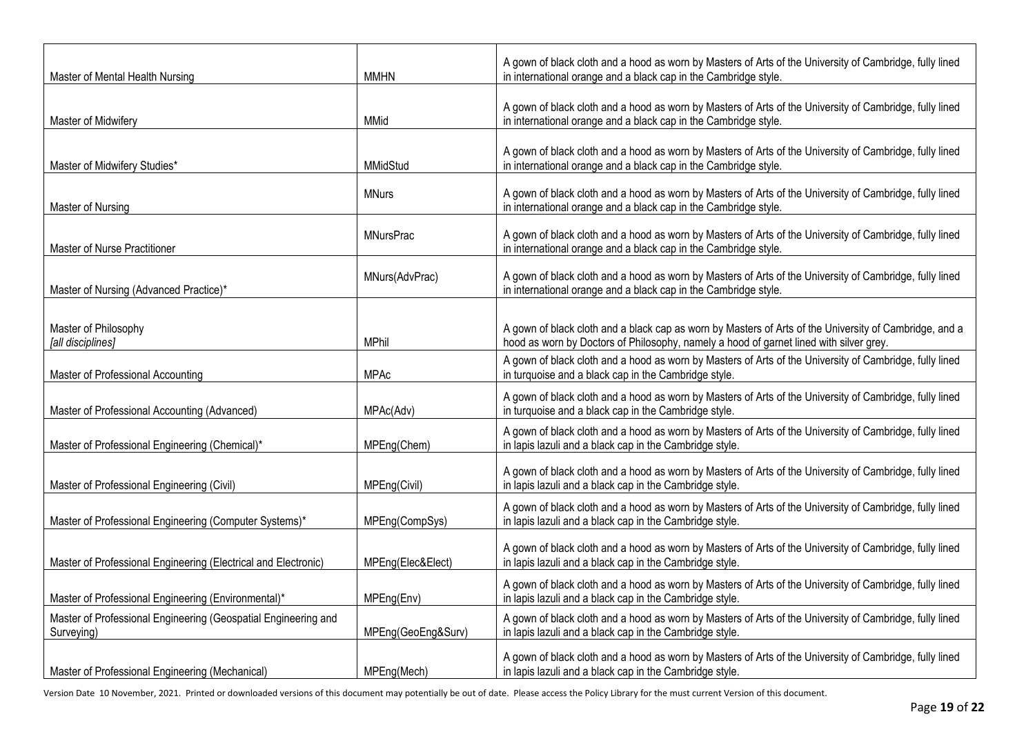| Master of Mental Health Nursing                                              | <b>MMHN</b>        | A gown of black cloth and a hood as worn by Masters of Arts of the University of Cambridge, fully lined<br>in international orange and a black cap in the Cambridge style.                       |
|------------------------------------------------------------------------------|--------------------|--------------------------------------------------------------------------------------------------------------------------------------------------------------------------------------------------|
| Master of Midwifery                                                          | <b>MMid</b>        | A gown of black cloth and a hood as worn by Masters of Arts of the University of Cambridge, fully lined<br>in international orange and a black cap in the Cambridge style.                       |
| Master of Midwifery Studies*                                                 | MMidStud           | A gown of black cloth and a hood as worn by Masters of Arts of the University of Cambridge, fully lined<br>in international orange and a black cap in the Cambridge style.                       |
| Master of Nursing                                                            | <b>MNurs</b>       | A gown of black cloth and a hood as worn by Masters of Arts of the University of Cambridge, fully lined<br>in international orange and a black cap in the Cambridge style.                       |
| Master of Nurse Practitioner                                                 | <b>MNursPrac</b>   | A gown of black cloth and a hood as worn by Masters of Arts of the University of Cambridge, fully lined<br>in international orange and a black cap in the Cambridge style.                       |
| Master of Nursing (Advanced Practice)*                                       | MNurs(AdvPrac)     | A gown of black cloth and a hood as worn by Masters of Arts of the University of Cambridge, fully lined<br>in international orange and a black cap in the Cambridge style.                       |
| Master of Philosophy<br>[all disciplines]                                    | <b>MPhil</b>       | A gown of black cloth and a black cap as worn by Masters of Arts of the University of Cambridge, and a<br>hood as worn by Doctors of Philosophy, namely a hood of garnet lined with silver grey. |
| Master of Professional Accounting                                            | <b>MPAc</b>        | A gown of black cloth and a hood as worn by Masters of Arts of the University of Cambridge, fully lined<br>in turquoise and a black cap in the Cambridge style.                                  |
| Master of Professional Accounting (Advanced)                                 | MPAc(Adv)          | A gown of black cloth and a hood as worn by Masters of Arts of the University of Cambridge, fully lined<br>in turquoise and a black cap in the Cambridge style.                                  |
| Master of Professional Engineering (Chemical)*                               | MPEng(Chem)        | A gown of black cloth and a hood as worn by Masters of Arts of the University of Cambridge, fully lined<br>in lapis lazuli and a black cap in the Cambridge style.                               |
| Master of Professional Engineering (Civil)                                   | MPEng(Civil)       | A gown of black cloth and a hood as worn by Masters of Arts of the University of Cambridge, fully lined<br>in lapis lazuli and a black cap in the Cambridge style.                               |
| Master of Professional Engineering (Computer Systems)*                       | MPEng(CompSys)     | A gown of black cloth and a hood as worn by Masters of Arts of the University of Cambridge, fully lined<br>in lapis lazuli and a black cap in the Cambridge style.                               |
| Master of Professional Engineering (Electrical and Electronic)               | MPEng(Elec&Elect)  | A gown of black cloth and a hood as worn by Masters of Arts of the University of Cambridge, fully lined<br>in lapis lazuli and a black cap in the Cambridge style.                               |
| Master of Professional Engineering (Environmental)*                          | MPEng(Env)         | A gown of black cloth and a hood as worn by Masters of Arts of the University of Cambridge, fully lined<br>in lapis lazuli and a black cap in the Cambridge style.                               |
| Master of Professional Engineering (Geospatial Engineering and<br>Surveying) | MPEng(GeoEng&Surv) | A gown of black cloth and a hood as worn by Masters of Arts of the University of Cambridge, fully lined<br>in lapis lazuli and a black cap in the Cambridge style.                               |
| Master of Professional Engineering (Mechanical)                              | MPEng(Mech)        | A gown of black cloth and a hood as worn by Masters of Arts of the University of Cambridge, fully lined<br>in lapis lazuli and a black cap in the Cambridge style.                               |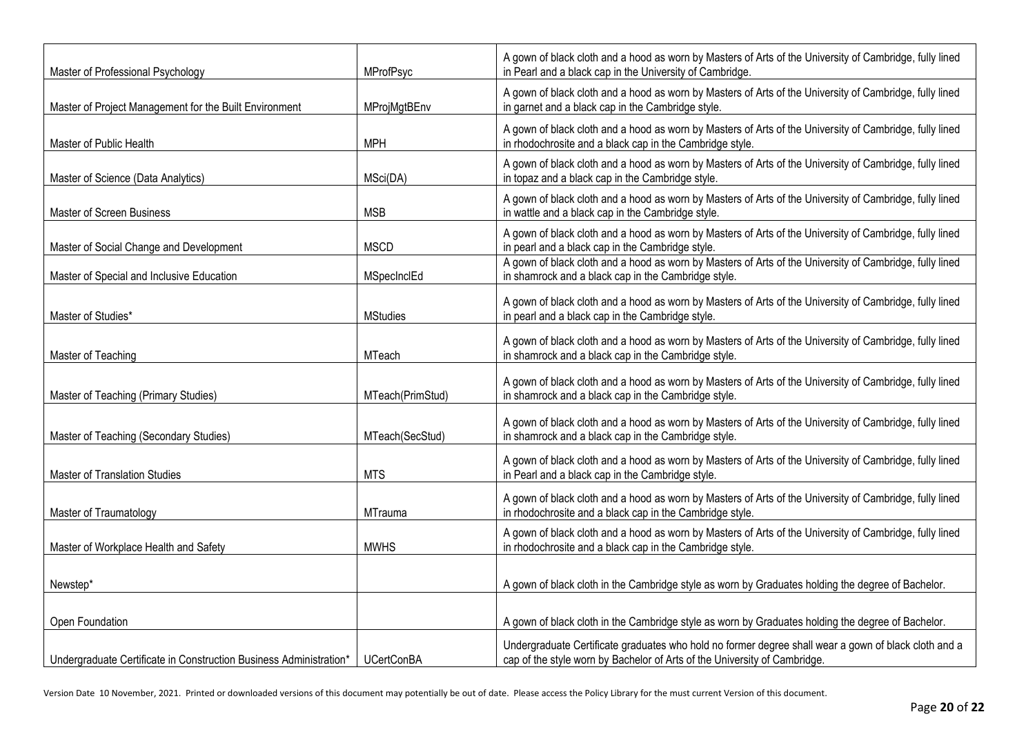| Master of Professional Psychology                                  | MProfPsyc         | A gown of black cloth and a hood as worn by Masters of Arts of the University of Cambridge, fully lined<br>in Pearl and a black cap in the University of Cambridge.               |
|--------------------------------------------------------------------|-------------------|-----------------------------------------------------------------------------------------------------------------------------------------------------------------------------------|
| Master of Project Management for the Built Environment             | MProjMgtBEnv      | A gown of black cloth and a hood as worn by Masters of Arts of the University of Cambridge, fully lined<br>in garnet and a black cap in the Cambridge style.                      |
| Master of Public Health                                            | <b>MPH</b>        | A gown of black cloth and a hood as worn by Masters of Arts of the University of Cambridge, fully lined<br>in rhodochrosite and a black cap in the Cambridge style.               |
| Master of Science (Data Analytics)                                 | MSci(DA)          | A gown of black cloth and a hood as worn by Masters of Arts of the University of Cambridge, fully lined<br>in topaz and a black cap in the Cambridge style.                       |
| Master of Screen Business                                          | <b>MSB</b>        | A gown of black cloth and a hood as worn by Masters of Arts of the University of Cambridge, fully lined<br>in wattle and a black cap in the Cambridge style.                      |
| Master of Social Change and Development                            | <b>MSCD</b>       | A gown of black cloth and a hood as worn by Masters of Arts of the University of Cambridge, fully lined<br>in pearl and a black cap in the Cambridge style.                       |
| Master of Special and Inclusive Education                          | MSpecInclEd       | A gown of black cloth and a hood as worn by Masters of Arts of the University of Cambridge, fully lined<br>in shamrock and a black cap in the Cambridge style.                    |
| Master of Studies*                                                 | <b>MStudies</b>   | A gown of black cloth and a hood as worn by Masters of Arts of the University of Cambridge, fully lined<br>in pearl and a black cap in the Cambridge style.                       |
| Master of Teaching                                                 | <b>MTeach</b>     | A gown of black cloth and a hood as worn by Masters of Arts of the University of Cambridge, fully lined<br>in shamrock and a black cap in the Cambridge style.                    |
| Master of Teaching (Primary Studies)                               | MTeach(PrimStud)  | A gown of black cloth and a hood as worn by Masters of Arts of the University of Cambridge, fully lined<br>in shamrock and a black cap in the Cambridge style.                    |
| Master of Teaching (Secondary Studies)                             | MTeach(SecStud)   | A gown of black cloth and a hood as worn by Masters of Arts of the University of Cambridge, fully lined<br>in shamrock and a black cap in the Cambridge style.                    |
| Master of Translation Studies                                      | <b>MTS</b>        | A gown of black cloth and a hood as worn by Masters of Arts of the University of Cambridge, fully lined<br>in Pearl and a black cap in the Cambridge style.                       |
| Master of Traumatology                                             | <b>MTrauma</b>    | A gown of black cloth and a hood as worn by Masters of Arts of the University of Cambridge, fully lined<br>in rhodochrosite and a black cap in the Cambridge style.               |
| Master of Workplace Health and Safety                              | <b>MWHS</b>       | A gown of black cloth and a hood as worn by Masters of Arts of the University of Cambridge, fully lined<br>in rhodochrosite and a black cap in the Cambridge style.               |
| Newstep*                                                           |                   | A gown of black cloth in the Cambridge style as worn by Graduates holding the degree of Bachelor.                                                                                 |
| Open Foundation                                                    |                   | A gown of black cloth in the Cambridge style as worn by Graduates holding the degree of Bachelor.                                                                                 |
| Undergraduate Certificate in Construction Business Administration* | <b>UCertConBA</b> | Undergraduate Certificate graduates who hold no former degree shall wear a gown of black cloth and a<br>cap of the style worn by Bachelor of Arts of the University of Cambridge. |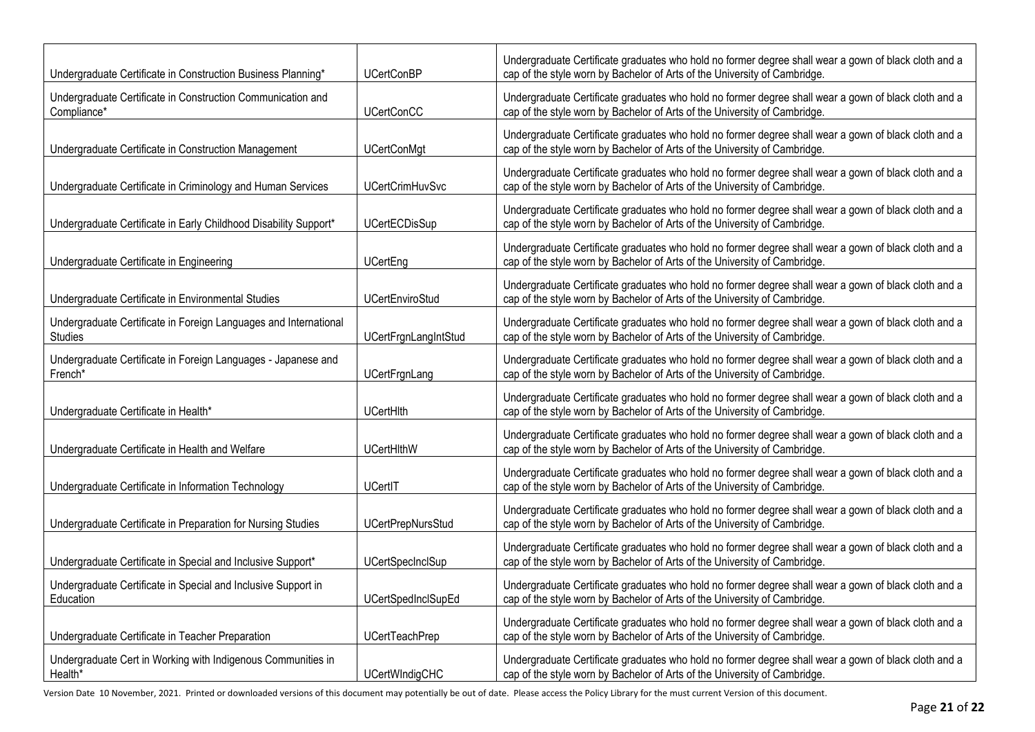| Undergraduate Certificate in Construction Business Planning*                | <b>UCertConBP</b>           | Undergraduate Certificate graduates who hold no former degree shall wear a gown of black cloth and a<br>cap of the style worn by Bachelor of Arts of the University of Cambridge. |
|-----------------------------------------------------------------------------|-----------------------------|-----------------------------------------------------------------------------------------------------------------------------------------------------------------------------------|
| Undergraduate Certificate in Construction Communication and<br>Compliance*  | <b>UCertConCC</b>           | Undergraduate Certificate graduates who hold no former degree shall wear a gown of black cloth and a<br>cap of the style worn by Bachelor of Arts of the University of Cambridge. |
| Undergraduate Certificate in Construction Management                        | <b>UCertConMgt</b>          | Undergraduate Certificate graduates who hold no former degree shall wear a gown of black cloth and a<br>cap of the style worn by Bachelor of Arts of the University of Cambridge. |
| Undergraduate Certificate in Criminology and Human Services                 | <b>UCertCrimHuvSvc</b>      | Undergraduate Certificate graduates who hold no former degree shall wear a gown of black cloth and a<br>cap of the style worn by Bachelor of Arts of the University of Cambridge. |
| Undergraduate Certificate in Early Childhood Disability Support*            | <b>UCertECDisSup</b>        | Undergraduate Certificate graduates who hold no former degree shall wear a gown of black cloth and a<br>cap of the style worn by Bachelor of Arts of the University of Cambridge. |
| Undergraduate Certificate in Engineering                                    | <b>UCertEng</b>             | Undergraduate Certificate graduates who hold no former degree shall wear a gown of black cloth and a<br>cap of the style worn by Bachelor of Arts of the University of Cambridge. |
| Undergraduate Certificate in Environmental Studies                          | <b>UCertEnviroStud</b>      | Undergraduate Certificate graduates who hold no former degree shall wear a gown of black cloth and a<br>cap of the style worn by Bachelor of Arts of the University of Cambridge. |
| Undergraduate Certificate in Foreign Languages and International<br>Studies | <b>UCertFrgnLangIntStud</b> | Undergraduate Certificate graduates who hold no former degree shall wear a gown of black cloth and a<br>cap of the style worn by Bachelor of Arts of the University of Cambridge. |
| Undergraduate Certificate in Foreign Languages - Japanese and<br>French*    | UCertFrgnLang               | Undergraduate Certificate graduates who hold no former degree shall wear a gown of black cloth and a<br>cap of the style worn by Bachelor of Arts of the University of Cambridge. |
| Undergraduate Certificate in Health*                                        | UCertHith                   | Undergraduate Certificate graduates who hold no former degree shall wear a gown of black cloth and a<br>cap of the style worn by Bachelor of Arts of the University of Cambridge. |
| Undergraduate Certificate in Health and Welfare                             | <b>UCertHithW</b>           | Undergraduate Certificate graduates who hold no former degree shall wear a gown of black cloth and a<br>cap of the style worn by Bachelor of Arts of the University of Cambridge. |
| Undergraduate Certificate in Information Technology                         | UCertIT                     | Undergraduate Certificate graduates who hold no former degree shall wear a gown of black cloth and a<br>cap of the style worn by Bachelor of Arts of the University of Cambridge. |
| Undergraduate Certificate in Preparation for Nursing Studies                | <b>UCertPrepNursStud</b>    | Undergraduate Certificate graduates who hold no former degree shall wear a gown of black cloth and a<br>cap of the style worn by Bachelor of Arts of the University of Cambridge. |
| Undergraduate Certificate in Special and Inclusive Support*                 | <b>UCertSpecInclSup</b>     | Undergraduate Certificate graduates who hold no former degree shall wear a gown of black cloth and a<br>cap of the style worn by Bachelor of Arts of the University of Cambridge. |
| Undergraduate Certificate in Special and Inclusive Support in<br>Education  | <b>UCertSpedInclSupEd</b>   | Undergraduate Certificate graduates who hold no former degree shall wear a gown of black cloth and a<br>cap of the style worn by Bachelor of Arts of the University of Cambridge. |
| Undergraduate Certificate in Teacher Preparation                            | <b>UCertTeachPrep</b>       | Undergraduate Certificate graduates who hold no former degree shall wear a gown of black cloth and a<br>cap of the style worn by Bachelor of Arts of the University of Cambridge. |
| Undergraduate Cert in Working with Indigenous Communities in<br>Health*     | <b>UCertWIndigCHC</b>       | Undergraduate Certificate graduates who hold no former degree shall wear a gown of black cloth and a<br>cap of the style worn by Bachelor of Arts of the University of Cambridge. |